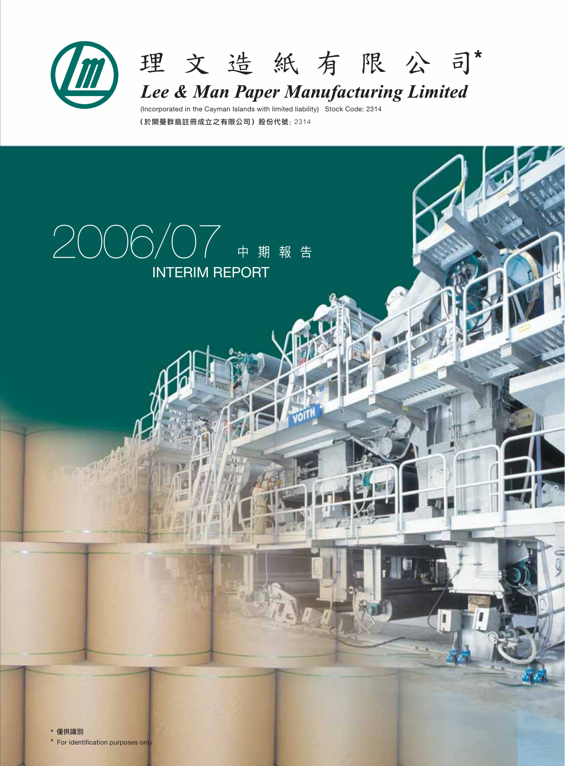



Lee & Man Paper Manufacturing Limited

(Incorporated in the Cayman Islands with limited liability) Stock Code: 2314  $(k)$ 開曼群鳥註冊成立之有限公司)股份代號: 2314

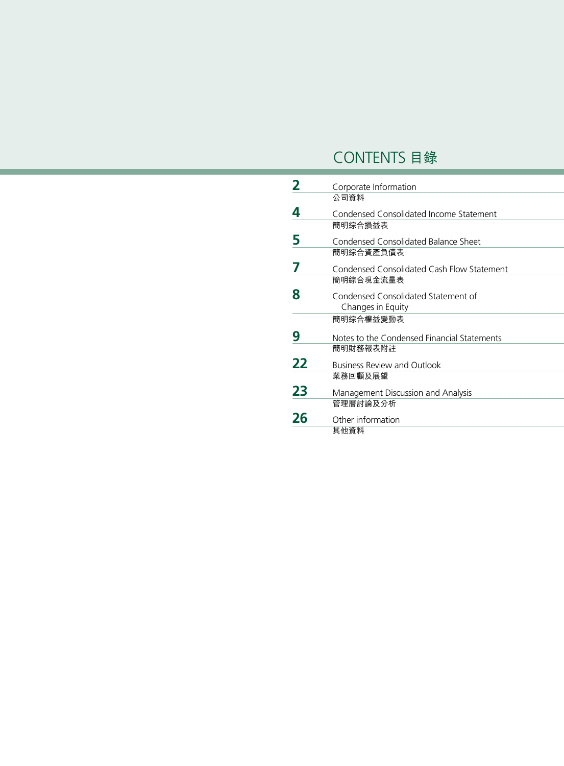# CONTENTS 目錄

|    | Corporate Information                       |
|----|---------------------------------------------|
|    | 公司資料                                        |
| 4  | Condensed Consolidated Income Statement     |
|    | 簡明綜合損益表                                     |
| 5  | Condensed Consolidated Balance Sheet        |
|    | 簡明綜合資產負債表                                   |
|    | Condensed Consolidated Cash Flow Statement  |
|    | 簡明綜合現金流量表                                   |
| 8  | Condensed Consolidated Statement of         |
|    | Changes in Equity                           |
|    | 簡明綜合權益變動表                                   |
| 9  | Notes to the Condensed Financial Statements |
|    | 簡明財務報表附註                                    |
| 22 | <b>Business Review and Outlook</b>          |
|    | 業務回顧及展望                                     |
| 23 | Management Discussion and Analysis          |
|    | 管理層討論及分析                                    |
| 26 | Other information                           |
|    | 其他資料                                        |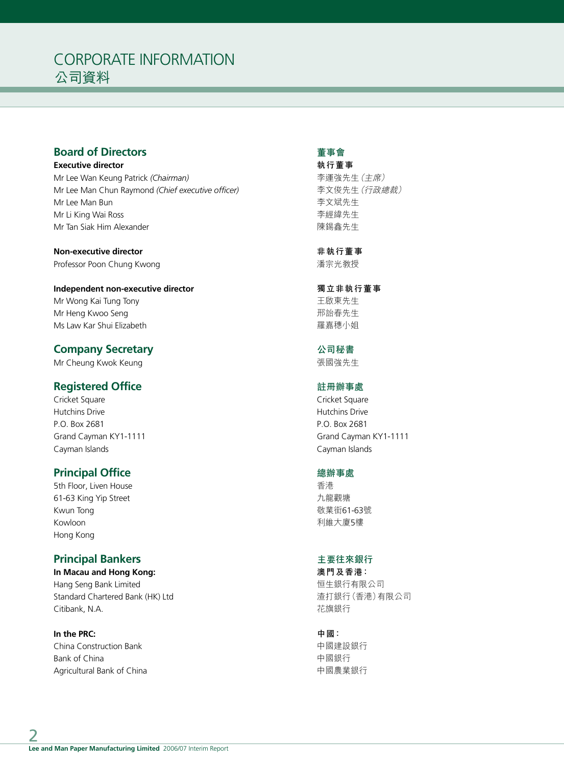# CORPORATE INFORMATION 公司資料

# **Board of Directors**

**Executive director** Mr Lee Wan Keung Patrick *(Chairman)* Mr Lee Man Chun Raymond *(Chief executive officer)* Mr Lee Man Bun Mr Li King Wai Ross

**Non-executive director** Professor Poon Chung Kwong

Mr Tan Siak Him Alexander

**Independent non-executive director** Mr Wong Kai Tung Tony Mr Heng Kwoo Seng Ms Law Kar Shui Elizabeth

## **Company Secretary**

Mr Cheung Kwok Keung

# **Registered Office**

Cricket Square Hutchins Drive P.O. Box 2681 Grand Cayman KY1-1111 Cayman Islands

# **Principal Office**

5th Floor, Liven House 61-63 King Yip Street Kwun Tong Kowloon Hong Kong

# **Principal Bankers**

**In Macau and Hong Kong:** Hang Seng Bank Limited Standard Chartered Bank (HK) Ltd Citibank, N.A.

**In the PRC:** China Construction Bank Bank of China Agricultural Bank of China

## **董事會**

**執行董事** 李運強先生(主席) 李文俊先生(行政總裁) 李文斌先生 李經緯先生 陳錫鑫先生

**非執行董事** 潘宗光教授

### **獨立非執行董事** 王啟東先生 邢詒春先生 羅嘉穗小姐

**公司秘書** 張國強先生

## **註冊辦事處**

Cricket Square Hutchins Drive P.O. Box 2681 Grand Cayman KY1-1111 Cayman Islands

## **總辦事處**

香港 九龍觀塘 敬業街61-63號 利維大廈5樓

# **主要往來銀行**

**澳門及香港:** 囱生銀行有限公司 渣打銀行(香港)有限公司 花旗銀行

## **中國:**

中國建設銀行 中國銀行 中國農業銀行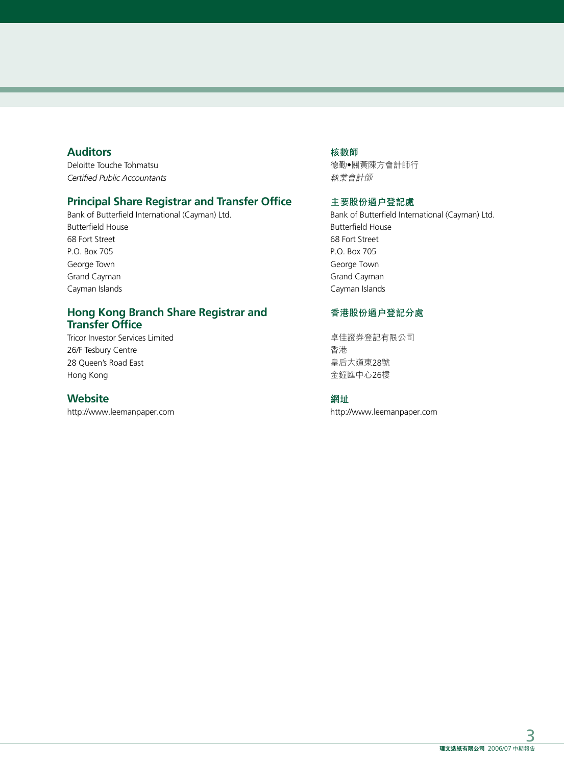# **Auditors**

Deloitte Touche Tohmatsu *Certified Public Accountants*

# **Principal Share Registrar and Transfer Office**

Bank of Butterfield International (Cayman) Ltd. Butterfield House 68 Fort Street P.O. Box 705 George Town Grand Cayman Cayman Islands

# **Hong Kong Branch Share Registrar and Transfer Office**

Tricor Investor Services Limited 26/F Tesbury Centre 28 Queen's Road East Hong Kong

## **Website**

http://www.leemanpaper.com

### **核數師**

德勤‧關黃陳方會計師行 執業會計師

### **主要股份過戶登記處**

Bank of Butterfield International (Cayman) Ltd. Butterfield House 68 Fort Street P.O. Box 705 George Town Grand Cayman Cayman Islands

## **香港股份過戶登記分處**

卓佳證券登記有限公司 香港 皇后大道東28號 金鐘匯中心26樓

#### **網址**

http://www.leemanpaper.com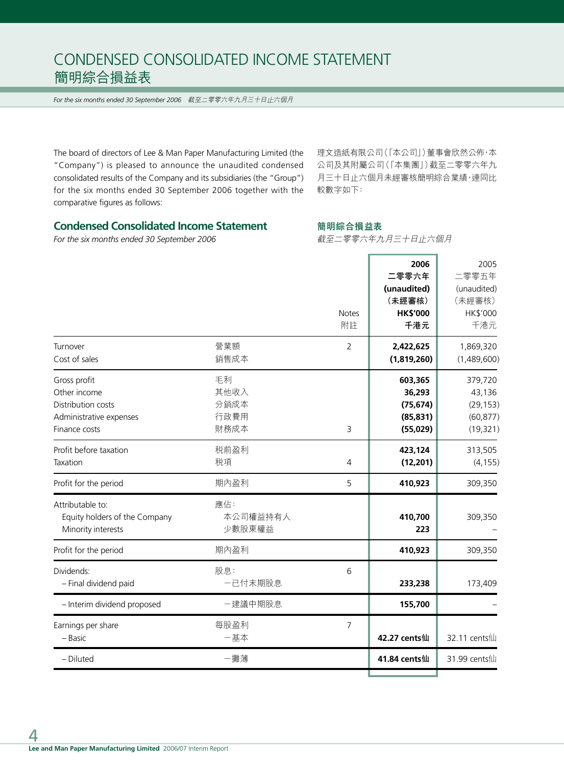# CONDENSED CONSOLIDATED INCOME STATEMENT 簡明綜合損益表

*For the six months ended 30 September 2006* 截至二零零六年九月三十日止六個月

The board of directors of Lee & Man Paper Manufacturing Limited (the "Company") is pleased to announce the unaudited condensed consolidated results of the Company and its subsidiaries (the "Group") for the six months ended 30 September 2006 together with the comparative figures as follows:

理文造紙有限公司(「本公司」)董事會欣然公佈,本 公司及其附屬公司(「本集團」)截至二零零六年九 月三十日止六個月未經審核簡明綜合業績,連同比 較數字如下:

# **Condensed Consolidated Income Statement**

*For the six months ended 30 September 2006*

**簡明綜合損益表**

截至二零零六年九月三十日止六個月

 $\overline{\phantom{a}}$ 

Ŧ.

| Turnover                                                                                       | 營業額                                | <b>Notes</b><br>附註<br>2 | 2006<br>二零零六年<br>(unaudited)<br>(未經審核)<br><b>HK\$'000</b><br>千港元<br>2,422,625 | 2005<br>二零零五年<br>(unaudited)<br>(未經審核)<br>HK\$'000<br>千港元<br>1,869,320 |
|------------------------------------------------------------------------------------------------|------------------------------------|-------------------------|-------------------------------------------------------------------------------|------------------------------------------------------------------------|
| Cost of sales                                                                                  | 銷售成本                               |                         | (1,819,260)                                                                   | (1,489,600)                                                            |
| Gross profit<br>Other income<br>Distribution costs<br>Administrative expenses<br>Finance costs | 毛利<br>其他收入<br>分銷成本<br>行政費用<br>財務成本 | 3                       | 603,365<br>36,293<br>(75, 674)<br>(85, 831)<br>(55,029)                       | 379,720<br>43,136<br>(29, 153)<br>(60, 877)<br>(19, 321)               |
| Profit before taxation<br>Taxation                                                             | 税前盈利<br>税項                         | $\overline{4}$          | 423,124<br>(12, 201)                                                          | 313,505<br>(4, 155)                                                    |
| Profit for the period                                                                          | 期內盈利                               | 5                       | 410,923                                                                       | 309,350                                                                |
| Attributable to:<br>Equity holders of the Company<br>Minority interests                        | 應佔:<br>本公司權益持有人<br>少數股東權益          |                         | 410,700<br>223                                                                | 309,350                                                                |
| Profit for the period                                                                          | 期內盈利                               |                         | 410,923                                                                       | 309,350                                                                |
| Dividends:<br>- Final dividend paid                                                            | 股息:<br>一已付末期股息                     | 6                       | 233,238                                                                       | 173,409                                                                |
| - Interim dividend proposed                                                                    | 一建議中期股息                            |                         | 155,700                                                                       |                                                                        |
| Earnings per share<br>- Basic                                                                  | 每股盈利<br>一基本                        | $\overline{7}$          | 42.27 cents仙                                                                  | 32.11 cents仙                                                           |
| - Diluted                                                                                      | 一攤薄                                |                         | 41.84 cents仙                                                                  | 31.99 cents仙                                                           |
|                                                                                                |                                    |                         |                                                                               |                                                                        |

4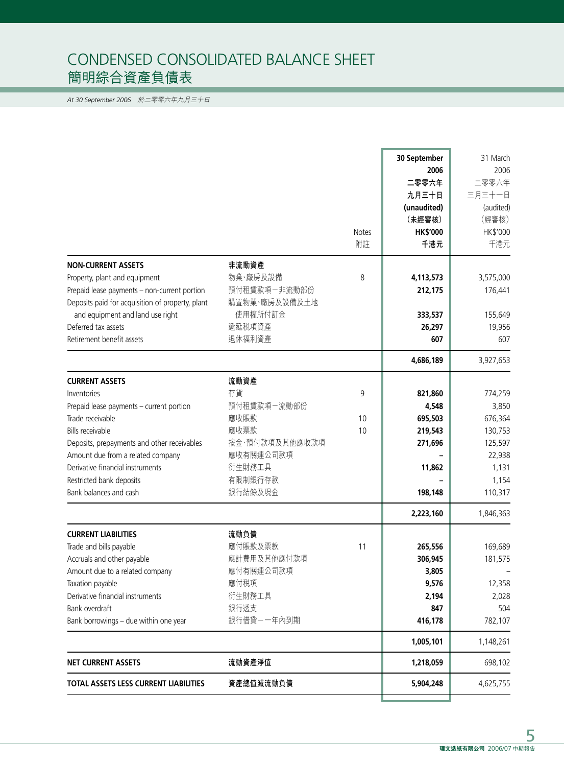# CONDENSED CONSOLIDATED BALANCE SHEET 簡明綜合資產負債表

*At 30 September 2006* 於二零零六年九月三十日

| <b>NON-CURRENT ASSETS</b><br>非流動資產<br>物業、廠房及設備<br>Property, plant and equipment<br>預付租賃款項一非流動部份<br>Prepaid lease payments - non-current portion<br>購置物業·廠房及設備及土地<br>Deposits paid for acquisition of property, plant<br>and equipment and land use right<br>使用權所付訂金<br>遞延税項資產<br>Deferred tax assets<br>退休福利資產<br>Retirement benefit assets                                                                               | <b>Notes</b><br>附註<br>8 | 30 September<br>2006<br>二零零六年<br>九月三十日<br>(unaudited)<br>(未經審核)<br><b>HK\$'000</b><br>千港元<br>4,113,573<br>212,175<br>333,537<br>26,297<br>607 | 31 March<br>2006<br>二零零六年<br>三月三十一日<br>(audited)<br>(經審核)<br>HK\$'000<br>千港元<br>3,575,000<br>176,441<br>155,649<br>19,956<br>607 |
|---------------------------------------------------------------------------------------------------------------------------------------------------------------------------------------------------------------------------------------------------------------------------------------------------------------------------------------------------------------------------------------------------------------------------|-------------------------|-----------------------------------------------------------------------------------------------------------------------------------------------|----------------------------------------------------------------------------------------------------------------------------------|
|                                                                                                                                                                                                                                                                                                                                                                                                                           |                         | 4,686,189                                                                                                                                     | 3,927,653                                                                                                                        |
| 流動資產<br><b>CURRENT ASSETS</b><br>存貨<br>Inventories<br>預付租賃款項一流動部份<br>Prepaid lease payments - current portion<br>應收賬款<br>Trade receivable<br>應收票款<br><b>Bills receivable</b><br>按金、預付款項及其他應收款項<br>Deposits, prepayments and other receivables<br>應收有關連公司款項<br>Amount due from a related company<br>Derivative financial instruments<br>衍生財務工具<br>Restricted bank deposits<br>有限制銀行存款<br>銀行結餘及現金<br>Bank balances and cash | 9<br>10<br>10           | 821,860<br>4,548<br>695,503<br>219,543<br>271,696<br>11,862<br>198,148<br>2,223,160                                                           | 774,259<br>3,850<br>676,364<br>130,753<br>125,597<br>22,938<br>1,131<br>1,154<br>110,317<br>1,846,363                            |
| 流動負債<br><b>CURRENT LIABILITIES</b><br>應付賬款及票款<br>Trade and bills payable<br>應計費用及其他應付款項<br>Accruals and other payable<br>應付有關連公司款項<br>Amount due to a related company<br>應付税項<br>Taxation payable<br>衍生財務工具<br>Derivative financial instruments<br>銀行透支<br>Bank overdraft<br>Bank borrowings - due within one year<br>銀行借貸-一年內到期                                                                                          | 11                      | 265,556<br>306,945<br>3,805<br>9,576<br>2,194<br>847<br>416,178<br>1,005,101                                                                  | 169,689<br>181,575<br>12,358<br>2,028<br>504<br>782,107<br>1,148,261                                                             |
| 流動資產淨值<br><b>NET CURRENT ASSETS</b>                                                                                                                                                                                                                                                                                                                                                                                       |                         | 1,218,059                                                                                                                                     | 698,102                                                                                                                          |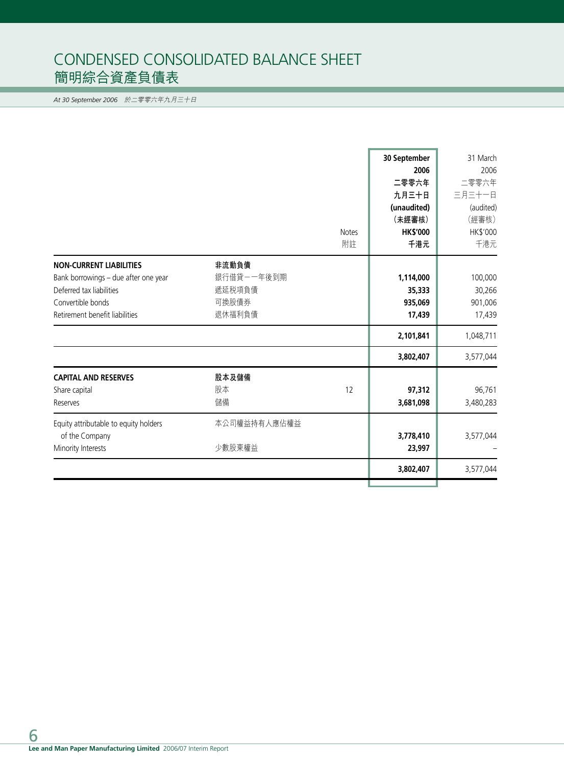# CONDENSED CONSOLIDATED BALANCE SHEET 簡明綜合資產負債表

*At 30 September 2006* 於二零零六年九月三十日

|                                                                                                                                                           |                                                  | <b>Notes</b><br>附註 | 30 September<br>2006<br>二零零六年<br>九月三十日<br>(unaudited)<br>(未經審核)<br><b>HK\$'000</b><br>千港元 | 31 March<br>2006<br>二零零六年<br>三月三十一日<br>(audited)<br>(經審核)<br>HK\$'000<br>千港元 |
|-----------------------------------------------------------------------------------------------------------------------------------------------------------|--------------------------------------------------|--------------------|-------------------------------------------------------------------------------------------|------------------------------------------------------------------------------|
| <b>NON-CURRENT LIABILITIES</b><br>Bank borrowings - due after one year<br>Deferred tax liabilities<br>Convertible bonds<br>Retirement benefit liabilities | 非流動負債<br>銀行借貸ーー年後到期<br>遞延税項負債<br>可換股債券<br>退休福利負債 |                    | 1,114,000<br>35,333<br>935,069<br>17,439<br>2,101,841<br>3,802,407                        | 100,000<br>30,266<br>901,006<br>17,439<br>1,048,711<br>3,577,044             |
| <b>CAPITAL AND RESERVES</b><br>Share capital<br>Reserves<br>Equity attributable to equity holders<br>of the Company<br>Minority Interests                 | 股本及儲備<br>股本<br>儲備<br>本公司權益持有人應佔權益<br>少數股東權益      | 12                 | 97,312<br>3,681,098<br>3,778,410<br>23,997                                                | 96,761<br>3,480,283<br>3,577,044                                             |
|                                                                                                                                                           |                                                  |                    | 3,802,407                                                                                 | 3,577,044                                                                    |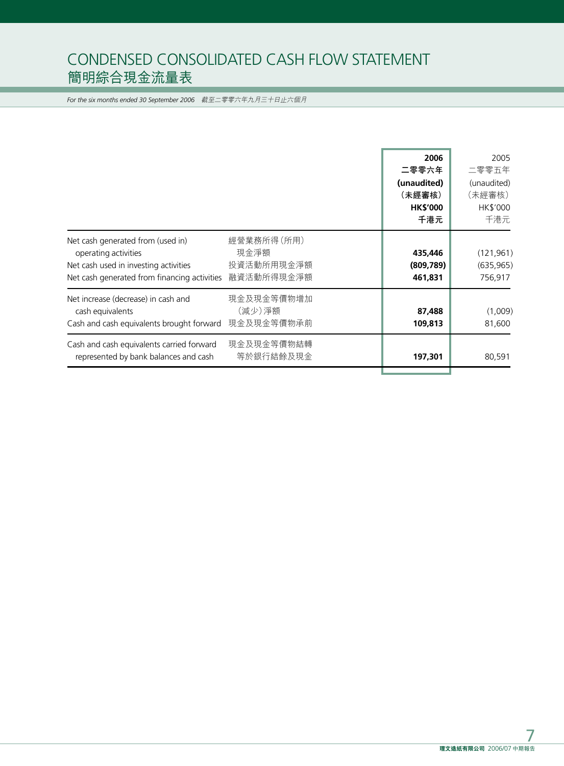# CONDENSED CONSOLIDATED CASH FLOW STATEMENT 簡明綜合現金流量表

*For the six months ended 30 September 2006* 截至二零零六年九月三十日止六個月

|                                                                                                                                                    |                                                | 二零零六年                            | 2006   | 2005<br>二零零五年                       |
|----------------------------------------------------------------------------------------------------------------------------------------------------|------------------------------------------------|----------------------------------|--------|-------------------------------------|
|                                                                                                                                                    |                                                | (unaudited)<br>(未經審核)            |        | (unaudited)<br>(未經審核)               |
|                                                                                                                                                    |                                                | <b>HK\$'000</b>                  | 千港元    | HK\$'000<br>千港元                     |
| Net cash generated from (used in)<br>operating activities<br>Net cash used in investing activities<br>Net cash generated from financing activities | 經營業務所得(所用)<br>現金淨額<br>投資活動所用現金淨額<br>融資活動所得現金淨額 | 435,446<br>(809, 789)<br>461,831 |        | (121, 961)<br>(635, 965)<br>756,917 |
| Net increase (decrease) in cash and<br>cash equivalents<br>Cash and cash equivalents brought forward                                               | 現金及現金等價物增加<br>(減少)淨額<br>現金及現金等價物承前             | 109,813                          | 87,488 | (1,009)<br>81,600                   |
| Cash and cash equivalents carried forward<br>represented by bank balances and cash                                                                 | 現金及現金等價物結轉<br>等於銀行結餘及現金                        | 197,301                          |        | 80,591                              |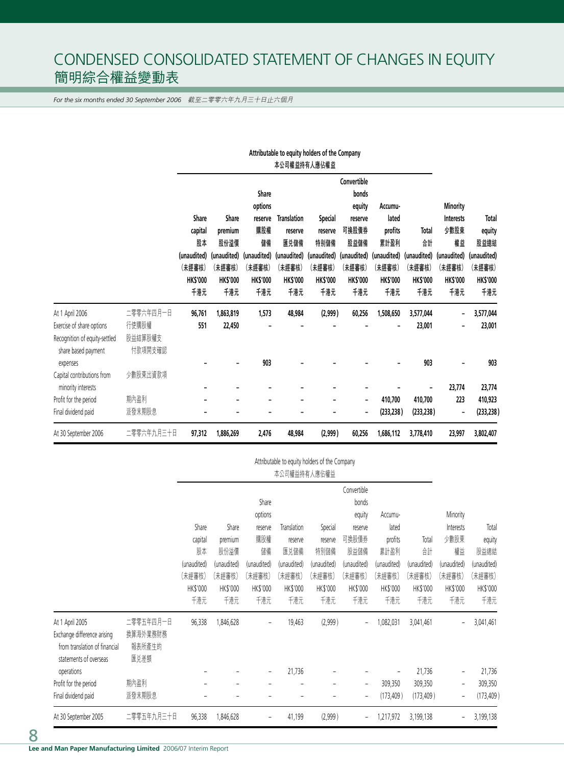# CONDENSED CONSOLIDATED STATEMENT OF CHANGES IN EQUITY 簡明綜合權益變動表

*For the six months ended 30 September 2006* 截至二零零六年九月三十日止六個月

|                               |            |                 |                 |                 |                    | adair) increase or and combant<br>本公司權益持有人應佔權益 |                          |                 |                 |                  |                 |
|-------------------------------|------------|-----------------|-----------------|-----------------|--------------------|------------------------------------------------|--------------------------|-----------------|-----------------|------------------|-----------------|
|                               |            |                 |                 |                 |                    |                                                | Convertible              |                 |                 |                  |                 |
|                               |            |                 |                 | Share           |                    |                                                | bonds                    |                 |                 |                  |                 |
|                               |            |                 |                 | options         |                    |                                                | equity                   | Accumu-         |                 | <b>Minority</b>  |                 |
|                               |            | Share           | Share           | reserve         | <b>Translation</b> | <b>Special</b>                                 | reserve                  | lated           |                 | <b>Interests</b> | Total           |
|                               |            | capital         | premium         | 購股權             | reserve            | reserve                                        | 可換股債券                    | profits         | Total           | 少數股東             | equity          |
|                               |            | 股本              | 股份溢價            | 儲備              | 匯兑儲備               | 特别儲備                                           | 股益儲備                     | 累計盈利            | 郃               | 權益               | 股益總結            |
|                               |            | (unaudited)     | (unaudited)     | (unaudited)     | (unaudited)        | (unaudited)                                    | (unaudited)              | (unaudited)     | (unaudited)     | (unaudited)      | (unaudited)     |
|                               |            | (未經審核)          | (未經審核)          | (未經審核)          | (未經審核)             | (未經審核)                                         | (未經審核)                   | (未經審核)          | (未經審核)          | (未經審核)           | (未經審核)          |
|                               |            | <b>HK\$'000</b> | <b>HK\$'000</b> | <b>HK\$'000</b> | <b>HK\$'000</b>    | <b>HK\$'000</b>                                | <b>HK\$'000</b>          | <b>HK\$'000</b> | <b>HK\$'000</b> | <b>HK\$'000</b>  | <b>HK\$'000</b> |
|                               |            | 千港元             | 千港元             | 千港元             | 千港元                | 千港元                                            | 千港元                      | 千港元             | 千港元             | 千港元              | 千港元             |
| At 1 April 2006               | 二零零六年四月一日  | 96,761          | 1,863,819       | 1,573           | 48,984             | (2,999)                                        | 60,256                   | 1,508,650       | 3,577,044       | ۰                | 3,577,044       |
| Exercise of share options     | 行使購股權      | 551             | 22,450          |                 |                    |                                                |                          |                 | 23,001          |                  | 23,001          |
| Recognition of equity-settled | 股益結算股權支    |                 |                 |                 |                    |                                                |                          |                 |                 |                  |                 |
| share based payment           | 付款項開支確認    |                 |                 |                 |                    |                                                |                          |                 |                 |                  |                 |
| expenses                      |            |                 |                 | 903             |                    |                                                |                          |                 | 903             |                  | 903             |
| Capital contributions from    | 少數股東出資款項   |                 |                 |                 |                    |                                                |                          |                 |                 |                  |                 |
| minority interests            |            |                 |                 |                 |                    |                                                |                          |                 |                 | 23,774           | 23,774          |
| Profit for the period         | 期內盈利       |                 |                 |                 |                    |                                                | ۰                        | 410,700         | 410,700         | 223              | 410,923         |
| Final dividend paid           | 派發末期股息     |                 |                 |                 |                    |                                                | $\overline{\phantom{a}}$ | (233, 238)      | (233, 238)      | ۰                | (233, 238)      |
| At 30 September 2006          | 二零零六年九月三十日 | 97,312          | 1,886,269       | 2,476           | 48,984             | (2,999)                                        | 60,256                   | 1,686,112       | 3,778,410       | 23,997           | 3,802,407       |

# **Attributable to equity holders of the Company**

| Attributable to equity holders of the Company |
|-----------------------------------------------|
| 本公司權益持有人應佔權益                                  |

| At 30 September 2005                                                  | 二零零五年九月三十日            | 96,338          | 1,846,628   | $\overline{\phantom{a}}$ | 41,199      | (2,999)           | $\overline{\phantom{a}}$ | 1,217,972   | 3,199,138   | $\overline{\phantom{a}}$ | 3,199,138   |
|-----------------------------------------------------------------------|-----------------------|-----------------|-------------|--------------------------|-------------|-------------------|--------------------------|-------------|-------------|--------------------------|-------------|
| Final dividend paid                                                   | 派發末期股息                |                 |             |                          |             |                   | $\overline{a}$           | (173, 409)  | (173, 409)  |                          | (173, 409)  |
| Profit for the period                                                 | 期內盈利                  |                 |             |                          |             | $\qquad \qquad -$ | $\overline{\phantom{a}}$ | 309,350     | 309,350     | $\overline{\phantom{a}}$ | 309,350     |
| from translation of financial<br>statements of overseas<br>operations | 報表所產生的<br>匯兑差額        |                 |             | $\overline{\phantom{a}}$ | 21,736      |                   |                          |             | 21,736      | $\overline{\phantom{a}}$ | 21,736      |
| At 1 April 2005<br>Exchange difference arising                        | 二零零五年四月一日<br>換算海外業務財務 | 96,338          | 1,846,628   | $\overline{\phantom{a}}$ | 19,463      | (2,999)           | $\qquad \qquad -$        | 1,082,031   | 3,041,461   | $\overline{\phantom{a}}$ | 3,041,461   |
|                                                                       |                       | 千港元             | 千港元         | 千港元                      | 千港元         | 千港元               | 千港元                      | 千港元         | 千港元         | 千港元                      | 千港元         |
|                                                                       |                       | <b>HK\$'000</b> | HK\$'000    | HK\$'000                 | HK\$'000    | HK\$'000          | HK\$'000                 | HK\$'000    | HK\$'000    | HK\$'000                 | HK\$'000    |
|                                                                       |                       | (未經審核)          | (未經審核)      | (未經審核)                   | (未經審核)      | (未經審核)            | (未經審核)                   | (未經審核)      | (未經審核)      | (未經審核)                   | (未經審核)      |
|                                                                       |                       | (unaudited)     | (unaudited) | (unaudited)              | (unaudited) | (unaudited)       | (unaudited)              | (unaudited) | (unaudited) | (unaudited)              | (unaudited) |
|                                                                       |                       | 股本              | 股份溢價        | 儲備                       | 匯兑儲備        | 特別儲備              | 股益儲備                     | 累計盈利        | 餅           | 權益                       | 股益總結        |
|                                                                       |                       | capital         | premium     | 購股權                      | reserve     | reserve           | 可換股債券                    | profits     | Total       | 少數股東                     | equity      |
|                                                                       |                       | Share           | Share       | reserve                  | Translation | Special           | reserve                  | lated       |             | Interests                | Total       |
|                                                                       |                       |                 |             | options                  |             |                   | equity                   | Accumu-     |             | Minority                 |             |
|                                                                       |                       |                 |             | Share                    |             |                   | bonds                    |             |             |                          |             |
|                                                                       |                       |                 |             |                          |             |                   | Convertible              |             |             |                          |             |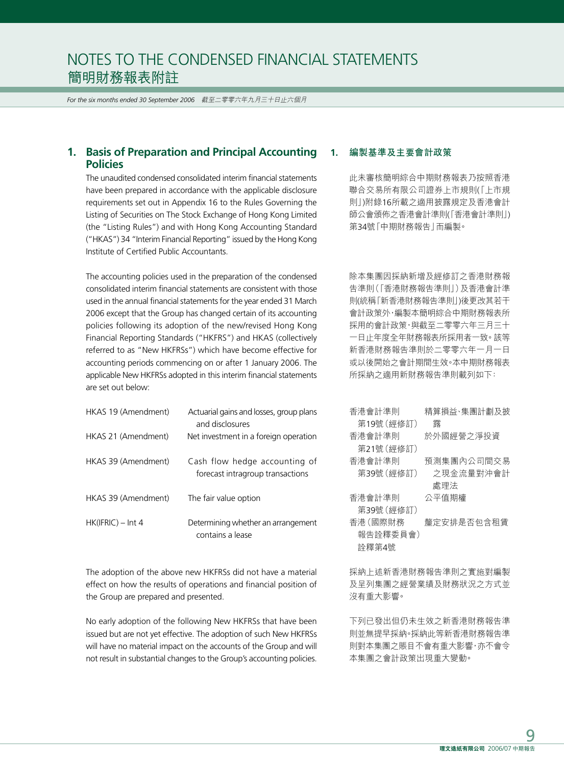*For the six months ended 30 September 2006* 截至二零零六年九月三十日止六個月

## **1. Basis of Preparation and Principal Accounting Policies**

The unaudited condensed consolidated interim financial statements have been prepared in accordance with the applicable disclosure requirements set out in Appendix 16 to the Rules Governing the Listing of Securities on The Stock Exchange of Hong Kong Limited (the "Listing Rules") and with Hong Kong Accounting Standard ("HKAS") 34 "Interim Financial Reporting" issued by the Hong Kong Institute of Certified Public Accountants.

The accounting policies used in the preparation of the condensed consolidated interim financial statements are consistent with those used in the annual financial statements for the year ended 31 March 2006 except that the Group has changed certain of its accounting policies following its adoption of the new/revised Hong Kong Financial Reporting Standards ("HKFRS") and HKAS (collectively referred to as "New HKFRSs") which have become effective for accounting periods commencing on or after 1 January 2006. The applicable New HKFRSs adopted in this interim financial statements are set out below:

| HKAS 19 (Amendment) | Actuarial gains and losses, group plans<br>and disclosures        |
|---------------------|-------------------------------------------------------------------|
| HKAS 21 (Amendment) | Net investment in a foreign operation                             |
| HKAS 39 (Amendment) | Cash flow hedge accounting of<br>forecast intragroup transactions |
| HKAS 39 (Amendment) | The fair value option                                             |
| $HK(IFRIC) - Int 4$ | Determining whether an arrangement<br>contains a lease            |

The adoption of the above new HKFRSs did not have a material effect on how the results of operations and financial position of the Group are prepared and presented.

No early adoption of the following New HKFRSs that have been issued but are not yet effective. The adoption of such New HKFRSs will have no material impact on the accounts of the Group and will not result in substantial changes to the Group's accounting policies.

#### **1. 編製基準及主要會計政策**

此未審核簡明綜合中期財務報表乃按照香港 聯合交易所有限公司證券上市規則(「上市規 則」)附錄16所載之適用披露規定及香港會計 師公會頒佈之香港會計準則(「香港會計準則」) 第34號「中期財務報告」而編製。

除本集團因採納新增及經修訂之香港財務報 告準則(「香港財務報告準則」)及香港會計準 則(統稱「新香港財務報告準則」)後更改其若干 會計政策外,編製本簡明綜合中期財務報表所 採用的會計政策,與截至二零零六年三月三十 一日止年度全年財務報表所採用者一致。該等 新香港財務報告準則於二零零六年一月一日 或以後開始之會計期間生效。本中期財務報表 所採納之適用新財務報告準則載列如下:

| 杏港會計凖則     | 精算損益、集團計劃及披 |
|------------|-------------|
| 第19號 (經修訂) | 霧           |
| 香港會計準則     | 於外國經營之淨投資   |
| 第21號(經修訂)  |             |
| 香港會計準則     | 預測集團內公司間交易  |
| 第39號(經修訂)  | 之現金流量對沖會計   |
|            | 處理法         |
| 香港會計準則     | 公平值期權       |
| 第39號 (經修訂) |             |
| 香港 (國際財務   | 釐定安排是否包含租賃  |
| 報告詮釋委員會)   |             |
| 詮釋第4號      |             |

採納上述新香港財務報告準則之實施對編製 及呈列集團之經營業績及財務狀況之方式並 沒有重大影響。

下列已發出但仍未生效之新香港財務報告準 則並無提早採納。採納此等新香港財務報告準 則對本集團之賬目不會有重大影響,亦不會令 本集團之會計政策出現重大變動。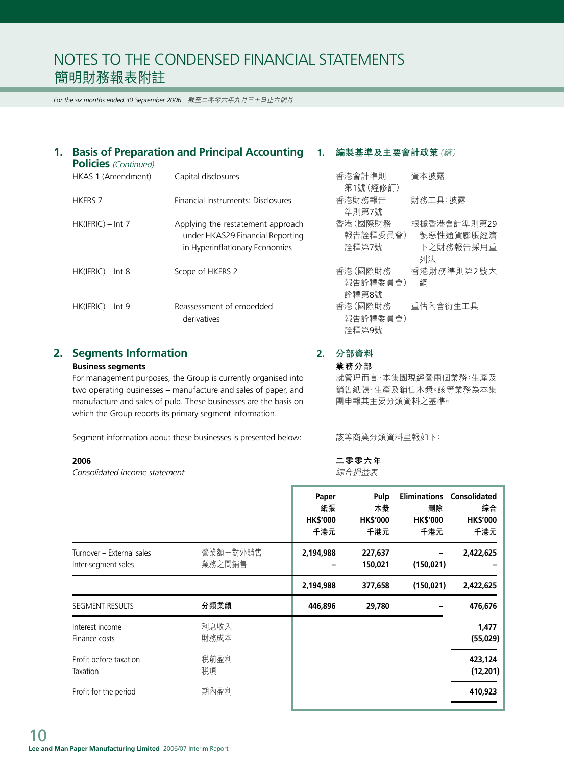*For the six months ended 30 September 2006* 截至二零零六年九月三十日止六個月

| 1. | <b>Basis of Preparation and Principal Accounting</b><br><b>Policies</b> (Continued) |                                                                                                         |  | 編製基準及主要會計政策 (續)               |                                             |  |  |
|----|-------------------------------------------------------------------------------------|---------------------------------------------------------------------------------------------------------|--|-------------------------------|---------------------------------------------|--|--|
|    | HKAS 1 (Amendment)                                                                  | Capital disclosures                                                                                     |  | 香港會計準則<br>第1號(經修訂)            | 資本披露                                        |  |  |
|    | <b>HKFRS 7</b>                                                                      | Financial instruments: Disclosures                                                                      |  | 香港財務報告<br>準則第7號               | 財務工具:披露                                     |  |  |
|    | $HK(IFRIC) - Int 7$                                                                 | Applying the restatement approach<br>under HKAS29 Financial Reporting<br>in Hyperinflationary Economies |  | 香港(國際財務<br>報告詮釋委員會)<br>詮釋第7號  | 根據香港會計準則第29<br>號惡性通貨膨脹經濟<br>下之財務報告採用重<br>列法 |  |  |
|    | $HK(IFRIC) - Int 8$                                                                 | Scope of HKFRS 2                                                                                        |  | 香港 (國際財務<br>報告詮釋委員會)<br>詮釋第8號 | 香港財務準則第2號大<br>綱                             |  |  |
|    | $HK(IFRIC) - Int 9$                                                                 | Reassessment of embedded<br>derivatives                                                                 |  | 香港 (國際財務<br>報告詮釋委員會)<br>詮釋第9號 | 重估內含衍生工具                                    |  |  |

# **2. Segments Information**

#### **Business segments**

For management purposes, the Group is currently organised into two operating businesses – manufacture and sales of paper, and manufacture and sales of pulp. These businesses are the basis on which the Group reports its primary segment information.

Segment information about these businesses is presented below:

#### **2006**

*Consolidated income statement*

| ᄇ / H, ᄅ ㅁ ! <del>ㅜ</del> ; '! | □ 生い以上台    |
|--------------------------------|------------|
| 第1號 (經修訂)                      |            |
| 香港財務報告                         | 財務工具:披露    |
| 準則第7號                          |            |
| 香港 (國際財務                       | 根據香港會計準則第2 |
| 報告詮釋委員會)                       | 號惡性通貨膨脹經   |
| 詮釋第7號                          | 下之財務報告採用   |
|                                | 列法         |
| 香港 (國際財務                       | 香港財務準則第2號; |
| 報告詮釋委員會)                       | 綱          |
| 詮釋第8號                          |            |
| 香港 (國際財務                       | 重估內含衍生工具   |
| 報告詮釋委員會)                       |            |
| 詮釋第9號                          |            |
|                                |            |

# **2. 分部資料**

**業務分部**

就管理而言,本集團現經營兩個業務:生產及 銷售紙張、生產及銷售木漿。該等業務為本集 團申報其主要分類資料之基準。

該等商業分類資料呈報如下:

**二零零六年** 綜合損益表

|                                                  |                    | Paper<br>紙張<br><b>HK\$'000</b><br>千港元 | Pulp<br>木漿<br><b>HK\$'000</b><br>千港元 | <b>Eliminations</b><br>刪除<br><b>HK\$'000</b><br>千港元 | <b>Consolidated</b><br>綜合<br><b>HK\$'000</b><br>千港元 |
|--------------------------------------------------|--------------------|---------------------------------------|--------------------------------------|-----------------------------------------------------|-----------------------------------------------------|
| Turnover - External sales<br>Inter-segment sales | 營業額一對外銷售<br>業務之間銷售 | 2,194,988                             | 227,637<br>150,021                   | (150, 021)                                          | 2,422,625                                           |
|                                                  |                    | 2,194,988                             | 377,658                              | (150, 021)                                          | 2,422,625                                           |
| SEGMENT RESULTS                                  | 分類業績               | 446,896                               | 29,780                               |                                                     | 476,676                                             |
| Interest income<br>Finance costs                 | 利息收入<br>財務成本       |                                       |                                      |                                                     | 1,477<br>(55,029)                                   |
| Profit before taxation<br>Taxation               | 税前盈利<br>税項         |                                       |                                      |                                                     | 423,124<br>(12, 201)                                |
| Profit for the period                            | 期內盈利               |                                       |                                      |                                                     | 410,923                                             |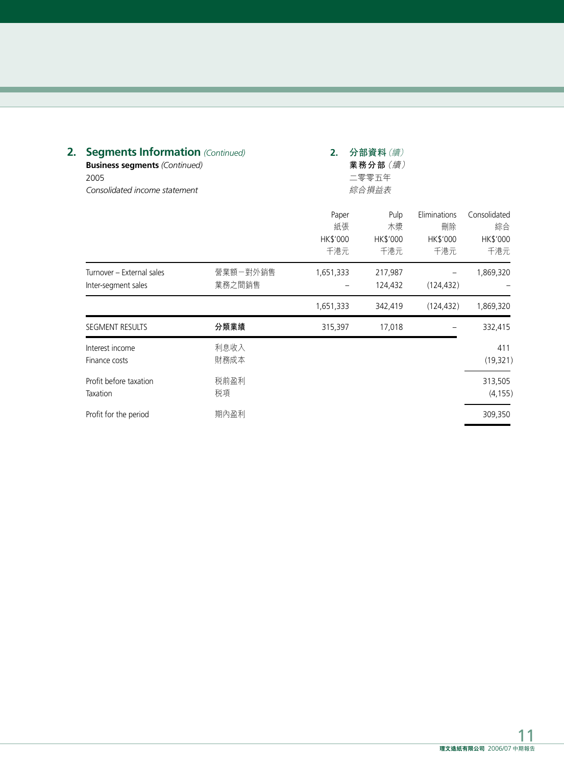| 2. | <b>Segments Information (Continued)</b><br><b>Business segments (Continued)</b><br>2005<br>Consolidated income statement |                    | 2.                             | 分部資料(續)<br>業務分部 (續)<br>二零零五年<br>綜合損益表 |                                       |                                       |
|----|--------------------------------------------------------------------------------------------------------------------------|--------------------|--------------------------------|---------------------------------------|---------------------------------------|---------------------------------------|
|    |                                                                                                                          |                    | Paper<br>紙張<br>HK\$'000<br>千港元 | Pulp<br>木漿<br>HK\$'000<br>千港元         | Eliminations<br>刪除<br>HK\$'000<br>千港元 | Consolidated<br>綜合<br>HK\$'000<br>千港元 |
|    | Turnover - External sales<br>Inter-segment sales                                                                         | 營業額一對外銷售<br>業務之間銷售 | 1,651,333                      | 217,987<br>124,432                    | (124, 432)                            | 1,869,320                             |
|    |                                                                                                                          |                    | 1,651,333                      | 342,419                               | (124, 432)                            | 1,869,320                             |
|    | SEGMENT RESULTS                                                                                                          | 分類業績               | 315,397                        | 17,018                                |                                       | 332,415                               |
|    | Interest income<br>Finance costs                                                                                         | 利息收入<br>財務成本       |                                |                                       |                                       | 411<br>(19, 321)                      |
|    | Profit before taxation<br>Taxation                                                                                       | 税前盈利<br>税項         |                                |                                       |                                       | 313,505<br>(4, 155)                   |
|    | Profit for the period                                                                                                    | 期內盈利               |                                |                                       |                                       | 309,350                               |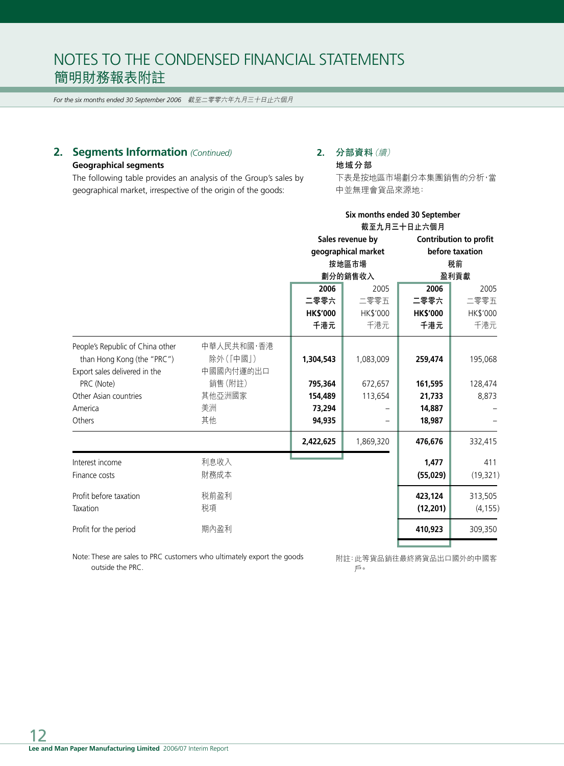*For the six months ended 30 September 2006* 截至二零零六年九月三十日止六個月

# **2. Segments Information** *(Continued)*

## **Geographical segments**

The following table provides an analysis of the Group's sales by geographical market, irrespective of the origin of the goods:

# **2. 分部資料**(續)

**地域分部**

下表是按地區市場劃分本集團銷售的分析,當 中並無理會貨品來源地:

|                                                                |                        |                 | Six months ended 30 September<br>截至九月三十日止六個月 |                               |                               |  |
|----------------------------------------------------------------|------------------------|-----------------|----------------------------------------------|-------------------------------|-------------------------------|--|
|                                                                |                        |                 | Sales revenue by                             |                               | <b>Contribution to profit</b> |  |
|                                                                |                        |                 | geographical market                          | before taxation<br>税前<br>盈利貢獻 |                               |  |
|                                                                |                        |                 | 按地區市場                                        |                               |                               |  |
|                                                                |                        |                 | 劃分的銷售收入                                      |                               |                               |  |
|                                                                |                        | 2006            | 2005                                         | 2006                          | 2005                          |  |
|                                                                |                        | 二零零六            | 二零零五                                         | 二零零六                          | 二零零五                          |  |
|                                                                |                        | <b>HK\$'000</b> | HK\$'000                                     | <b>HK\$'000</b>               | HK\$'000                      |  |
|                                                                |                        | 千港元             | 千港元                                          | 千港元                           | 千港元                           |  |
| People's Republic of China other<br>than Hong Kong (the "PRC") | 中華人民共和國,香港<br>除外(「中國」) | 1,304,543       | 1,083,009                                    | 259,474                       | 195,068                       |  |
| Export sales delivered in the                                  | 中國國內付運的出口              |                 |                                              |                               |                               |  |
| PRC (Note)                                                     | 銷售(附註)                 | 795,364         | 672,657                                      | 161,595                       | 128,474                       |  |
| Other Asian countries                                          | 其他亞洲國家                 | 154,489         | 113,654                                      | 21,733                        | 8,873                         |  |
| America                                                        | 美洲                     | 73,294          |                                              | 14,887                        |                               |  |
| Others                                                         | 其他                     | 94,935          |                                              | 18,987                        |                               |  |
|                                                                |                        | 2,422,625       | 1,869,320                                    | 476,676                       | 332,415                       |  |
| Interest income                                                | 利息收入                   |                 |                                              | 1,477                         | 411                           |  |
| Finance costs                                                  | 財務成本                   |                 |                                              | (55,029)                      | (19, 321)                     |  |
| Profit before taxation                                         | 税前盈利                   |                 |                                              | 423,124                       | 313,505                       |  |
| Taxation                                                       | 税項                     |                 |                                              | (12, 201)                     | (4, 155)                      |  |
| Profit for the period                                          | 期內盈利                   |                 |                                              | 410,923                       | 309,350                       |  |
|                                                                |                        |                 |                                              |                               |                               |  |

Note: These are sales to PRC customers who ultimately export the goods outside the PRC.

附註:此等貨品銷往最終將貨品出口國外的中國客 戶。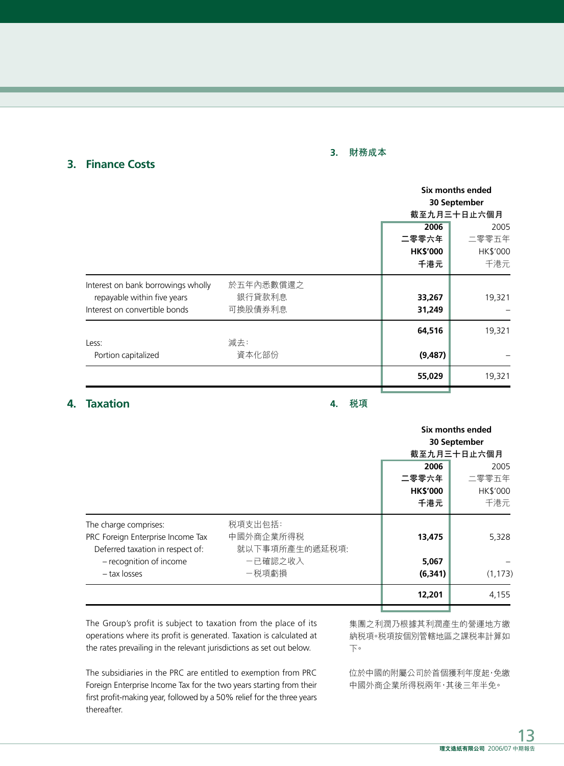#### **3. 財務成本**

|                                                                                                    |                                | Six months ended<br>30 September<br>截至九月三十日止六個月 |                                  |
|----------------------------------------------------------------------------------------------------|--------------------------------|-------------------------------------------------|----------------------------------|
|                                                                                                    |                                | 2006<br>二零零六年<br><b>HK\$'000</b><br>千港元         | 2005<br>二零零五年<br>HK\$'000<br>千港元 |
| Interest on bank borrowings wholly<br>repayable within five years<br>Interest on convertible bonds | 於五年內悉數償還之<br>銀行貸款利息<br>可換股債券利息 | 33,267<br>31,249                                | 19,321                           |
| Less:<br>Portion capitalized                                                                       | 減去:<br>資本化部份                   | 64,516<br>(9, 487)                              | 19,321                           |
|                                                                                                    |                                | 55,029                                          | 19,321                           |

# **4. Taxation**

**3. Finance Costs**

**4. 稅項**

|                                   |                |                 | Six months ended |  |
|-----------------------------------|----------------|-----------------|------------------|--|
|                                   |                |                 | 30 September     |  |
|                                   |                |                 | 截至九月三十日止六個月      |  |
|                                   |                | 2006            | 2005             |  |
|                                   |                | 二零零六年           | 二零零五年            |  |
|                                   |                | <b>HK\$'000</b> | HK\$'000         |  |
|                                   |                | 千港元             | 千港元              |  |
| The charge comprises:             | 税項支出包括:        |                 |                  |  |
| PRC Foreign Enterprise Income Tax | 中國外商企業所得税      | 13,475          | 5,328            |  |
| Deferred taxation in respect of:  | 就以下事項所產生的遞延税項: |                 |                  |  |
| - recognition of income           | 一已確認之收入        | 5,067           |                  |  |
| - tax losses                      | -税項虧損          | (6, 341)        | (1, 173)         |  |
|                                   |                | 12,201          | 4,155            |  |
|                                   |                |                 |                  |  |

The Group's profit is subject to taxation from the place of its operations where its profit is generated. Taxation is calculated at the rates prevailing in the relevant jurisdictions as set out below.

The subsidiaries in the PRC are entitled to exemption from PRC Foreign Enterprise Income Tax for the two years starting from their first profit-making year, followed by a 50% relief for the three years thereafter.

集團之利潤乃根據其利潤產生的營運地方繳 納稅項。稅項按個別管轄地區之課稅率計算如 下。

位於中國的附屬公司於首個獲利年度起,免繳 中國外商企業所得稅兩年,其後三年半免。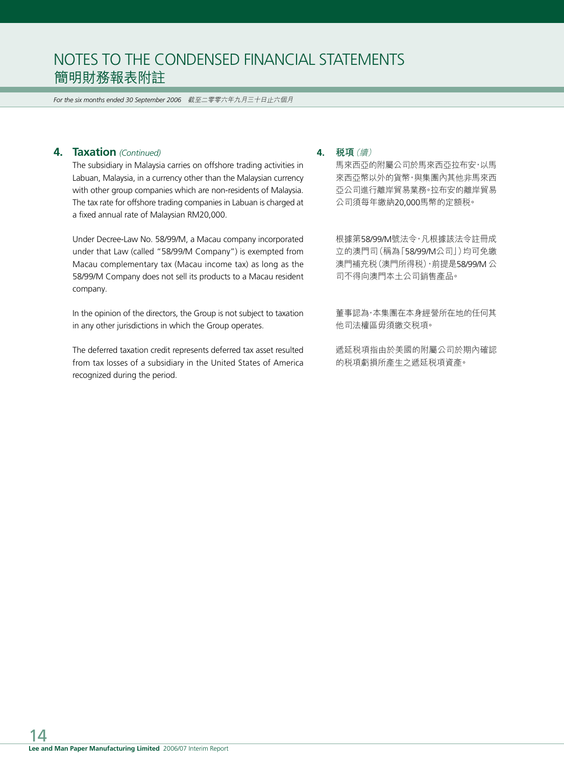*For the six months ended 30 September 2006* 截至二零零六年九月三十日止六個月

## **4. Taxation** *(Continued)*

The subsidiary in Malaysia carries on offshore trading activities in Labuan, Malaysia, in a currency other than the Malaysian currency with other group companies which are non-residents of Malaysia. The tax rate for offshore trading companies in Labuan is charged at a fixed annual rate of Malaysian RM20,000.

Under Decree-Law No. 58/99/M, a Macau company incorporated under that Law (called "58/99/M Company") is exempted from Macau complementary tax (Macau income tax) as long as the 58/99/M Company does not sell its products to a Macau resident company.

In the opinion of the directors, the Group is not subject to taxation in any other jurisdictions in which the Group operates.

The deferred taxation credit represents deferred tax asset resulted from tax losses of a subsidiary in the United States of America recognized during the period.

#### **4. 稅項**(續)

馬來西亞的附屬公司於馬來西亞拉布安,以馬 來西亞幣以外的貨幣,與集團內其他非馬來西 亞公司進行離岸貿易業務。拉布安的離岸貿易 公司須每年繳納20,000馬幣的定額稅。

根據第58/99/M號法令,凡根據該法令註冊成 立的澳門司(稱為「58/99/M公司」)均可免繳 澳門補充稅(澳門所得稅),前提是58/99/M 公 司不得向澳門本土公司銷售產品。

董事認為,本集團在本身經營所在地的任何其 他司法權區毋須繳交稅項。

遞延稅項指由於美國的附屬公司於期內確認 的稅項虧損所產生之遞延稅項資產。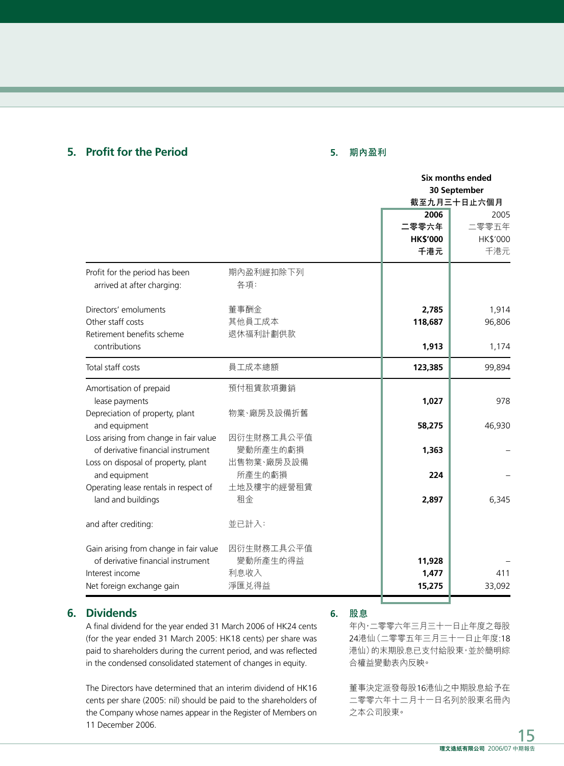## **5. Profit for the Period**

### **5. 期內盈利**

| 30 September<br>截至九月三十日止六個月<br>2005 |
|-------------------------------------|
|                                     |
|                                     |
| 二零零五年                               |
| HK\$'000                            |
| 千港元                                 |
|                                     |
| 1,914                               |
| 96,806                              |
|                                     |
| 1,174                               |
| 99,894                              |
| 978                                 |
|                                     |
| 46,930                              |
|                                     |
|                                     |
|                                     |
|                                     |
| 6,345                               |
|                                     |
|                                     |
|                                     |
|                                     |
| 411                                 |
| 33,092                              |
|                                     |

# **6. Dividends**

A final dividend for the year ended 31 March 2006 of HK24 cents (for the year ended 31 March 2005: HK18 cents) per share was paid to shareholders during the current period, and was reflected in the condensed consolidated statement of changes in equity.

The Directors have determined that an interim dividend of HK16 cents per share (2005: nil) should be paid to the shareholders of the Company whose names appear in the Register of Members on 11 December 2006.

#### **6. 股息**

年內,二零零六年三月三十一日止年度之每股 24港仙(二零零五年三月三十一日止年度:18 港仙)的末期股息已支付給股東,並於簡明綜 合權益變動表內反映。

董事決定派發每股16港仙之中期股息給予在 二零零六年十二月十一日名列於股東名冊內 之本公司股東。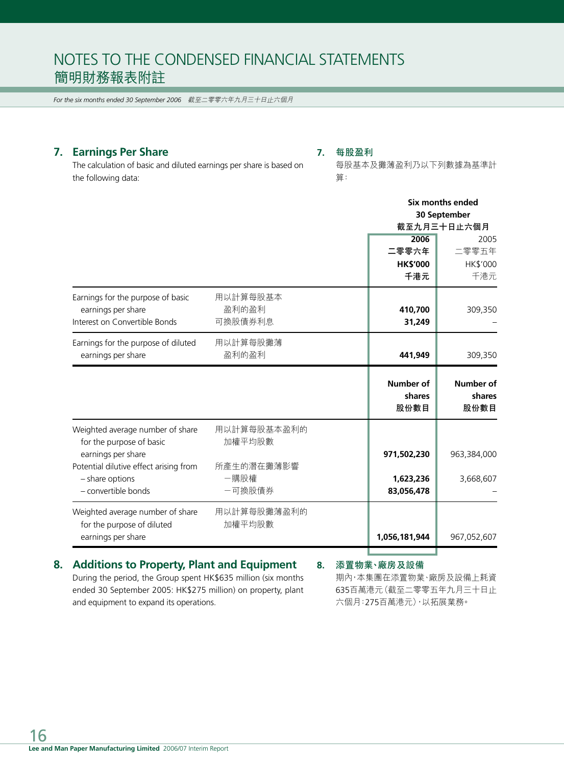*For the six months ended 30 September 2006* 截至二零零六年九月三十日止六個月

## **7. Earnings Per Share**

### **7. 每股盈利**

The calculation of basic and diluted earnings per share is based on the following data:

每股基本及攤薄盈利乃以下列數據為基準計 算:

|                                        |             |                  | Six months ended |  |
|----------------------------------------|-------------|------------------|------------------|--|
|                                        |             |                  | 30 September     |  |
|                                        |             |                  | 截至九月三十日止六個月      |  |
|                                        |             | 2006             | 2005             |  |
|                                        |             | 二零零六年            | 二零零五年            |  |
|                                        |             | <b>HK\$'000</b>  | HK\$'000         |  |
|                                        |             | 千港元              | 千港元              |  |
| Earnings for the purpose of basic      | 用以計算每股基本    |                  |                  |  |
| earnings per share                     | 盈利的盈利       | 410,700          | 309,350          |  |
| Interest on Convertible Bonds          | 可換股債券利息     | 31,249           |                  |  |
| Earnings for the purpose of diluted    | 用以計算每股攤薄    |                  |                  |  |
| earnings per share                     | 盈利的盈利       | 441,949          | 309,350          |  |
|                                        |             | <b>Number of</b> | <b>Number of</b> |  |
|                                        |             | shares           | shares           |  |
|                                        |             | 股份數目             | 股份數目             |  |
| Weighted average number of share       | 用以計算每股基本盈利的 |                  |                  |  |
| for the purpose of basic               | 加權平均股數      |                  |                  |  |
| earnings per share                     |             | 971,502,230      | 963,384,000      |  |
| Potential dilutive effect arising from | 所產生的潛在攤薄影響  |                  |                  |  |
| - share options                        | 一購股權        | 1,623,236        | 3,668,607        |  |
| - convertible bonds                    | -可換股債券      | 83,056,478       |                  |  |
| Weighted average number of share       | 用以計算每股攤薄盈利的 |                  |                  |  |
| for the purpose of diluted             | 加權平均股數      |                  |                  |  |
| earnings per share                     |             | 1,056,181,944    | 967,052,607      |  |
|                                        |             |                  |                  |  |

## **8. Additions to Property, Plant and Equipment**

**8. 添置物業、廠房及設備**

During the period, the Group spent HK\$635 million (six months ended 30 September 2005: HK\$275 million) on property, plant and equipment to expand its operations.

期內,本集團在添置物業、廠房及設備上耗資 635百萬港元(截至二零零五年九月三十日止 六個月:275百萬港元),以拓展業務。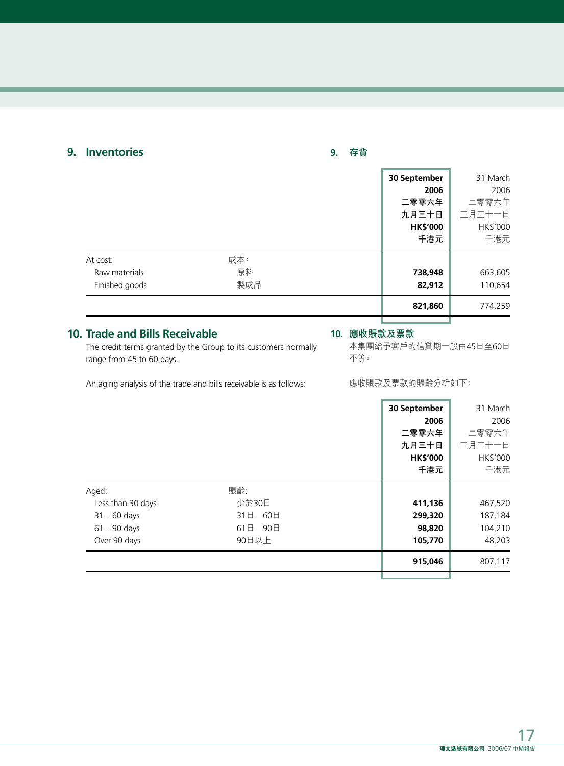# **9. Inventories**

# **9. 存貨**

|                                             |                  | 30 September<br>2006<br>二零零六年<br>九月三十日<br><b>HK\$'000</b><br>千港元 | 31 March<br>2006<br>二零零六年<br>三月三十一日<br>HK\$'000<br>千港元 |
|---------------------------------------------|------------------|------------------------------------------------------------------|--------------------------------------------------------|
| At cost:<br>Raw materials<br>Finished goods | 成本:<br>原料<br>製成品 | 738,948<br>82,912                                                | 663,605<br>110,654                                     |
|                                             |                  | 821,860                                                          | 774,259                                                |

## **10. Trade and Bills Receivable**

#### **10. 應收賬款及票款**

The credit terms granted by the Group to its customers normally range from 45 to 60 days.

本集團給予客戶的信貸期一般由45日至60日 不等。

An aging analysis of the trade and bills receivable is as follows:

應收賬款及票款的賬齡分析如下:

|                   |            | 30 September    | 31 March |
|-------------------|------------|-----------------|----------|
|                   |            | 2006            | 2006     |
|                   |            | 二零零六年           | 二零零六年    |
|                   |            | 九月三十日           | 三月三十一日   |
|                   |            | <b>HK\$'000</b> | HK\$'000 |
|                   |            | 千港元             | 千港元      |
| Aged:             | 賬齡:        |                 |          |
| Less than 30 days | 少於30日      | 411,136         | 467,520  |
| $31 - 60$ days    | 31日-60日    | 299,320         | 187,184  |
| $61 - 90$ days    | $61$ 日-90日 | 98,820          | 104,210  |
| Over 90 days      | 90日以上      | 105,770         | 48,203   |
|                   |            | 915,046         | 807,117  |
|                   |            |                 |          |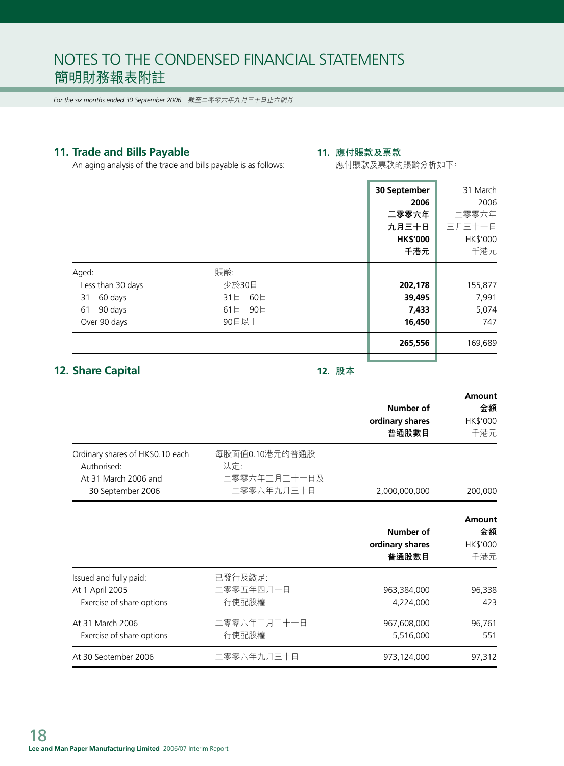*For the six months ended 30 September 2006* 截至二零零六年九月三十日止六個月

# **11. Trade and Bills Payable**

## **11. 應付賬款及票款**

An aging analysis of the trade and bills payable is as follows:

應付賬款及票款的賬齡分析如下:

|                                                                                |                                                     | 30 September<br>2006<br>二零零六年        | 31 March<br>2006<br>二零零六年        |
|--------------------------------------------------------------------------------|-----------------------------------------------------|--------------------------------------|----------------------------------|
|                                                                                |                                                     | 九月三十日<br><b>HK\$'000</b><br>千港元      | 三月三十一日<br>HK\$'000<br>千港元        |
| Aged:<br>Less than 30 days<br>$31 - 60$ days<br>$61 - 90$ days<br>Over 90 days | 賬齡:<br>少於30日<br>$31$ 日 - 60日<br>$61$ 日-90日<br>90日以上 | 202,178<br>39,495<br>7,433<br>16,450 | 155,877<br>7,991<br>5,074<br>747 |
|                                                                                |                                                     | 265,556                              | 169,689                          |

# **12. Share Capital**

**12. 股本**

|                                                                                              |                                                     | Number of<br>ordinary shares<br>普通股數目 | Amount<br>金額<br>HK\$'000<br>千港元 |
|----------------------------------------------------------------------------------------------|-----------------------------------------------------|---------------------------------------|---------------------------------|
| Ordinary shares of HK\$0.10 each<br>Authorised:<br>At 31 March 2006 and<br>30 September 2006 | 每股面值0.10港元的普通股<br>法定:<br>二零零六年三月三十一日及<br>二零零六年九月三十日 | 2,000,000,000                         | 200,000                         |
|                                                                                              |                                                     | Number of<br>ordinary shares<br>普通股數目 | Amount<br>金額<br>HK\$'000<br>千港元 |
| Issued and fully paid:<br>At 1 April 2005<br>Exercise of share options                       | 已發行及繳足:<br>二零零五年四月一日<br>行使配股權                       | 963,384,000<br>4,224,000              | 96,338<br>423                   |
| At 31 March 2006<br>Exercise of share options                                                | 二零零六年三月三十一日<br>行使配股權                                | 967,608,000<br>5,516,000              | 96,761<br>551                   |
| At 30 September 2006                                                                         | 二零零六年九月三十日                                          | 973,124,000                           | 97,312                          |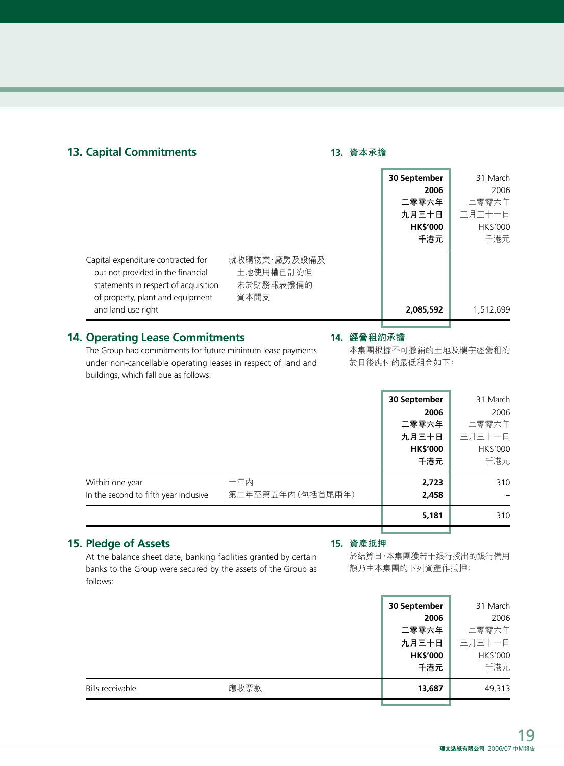# **13. Capital Commitments**

### **13. 資本承擔**

|                                                                                                                                                     |                                                | 30 September    | 31 March  |
|-----------------------------------------------------------------------------------------------------------------------------------------------------|------------------------------------------------|-----------------|-----------|
|                                                                                                                                                     |                                                | 2006            | 2006      |
|                                                                                                                                                     |                                                | 二零零六年           | 二零零六年     |
|                                                                                                                                                     |                                                | 九月三十日           | 三月三十一日    |
|                                                                                                                                                     |                                                | <b>HK\$'000</b> | HK\$'000  |
|                                                                                                                                                     |                                                | 千港元             | 千港元       |
| Capital expenditure contracted for<br>but not provided in the financial<br>statements in respect of acquisition<br>of property, plant and equipment | 就收購物業、廠房及設備及<br>土地使用權已訂約但<br>未於財務報表撥備的<br>資本開支 |                 |           |
| and land use right                                                                                                                                  |                                                | 2,085,592       | 1,512,699 |
|                                                                                                                                                     |                                                |                 |           |

# **14. Operating Lease Commitments**

#### **14. 經營租約承擔**

The Group had commitments for future minimum lease payments under non-cancellable operating leases in respect of land and buildings, which fall due as follows:

本集團根據不可撤銷的土地及樓宇經營租約 於日後應付的最低租金如下:

|                                                          |                         | 30 September<br>2006<br>二零零六年<br>九月三十日<br><b>HK\$'000</b> | 31 March<br>2006<br>二零零六年<br>三月三十一日<br>HK\$'000 |
|----------------------------------------------------------|-------------------------|-----------------------------------------------------------|-------------------------------------------------|
|                                                          |                         | 千港元                                                       | 千港元                                             |
| Within one year<br>In the second to fifth year inclusive | 一年內<br>第二年至第五年內(包括首尾兩年) | 2,723<br>2,458                                            | 310                                             |
|                                                          |                         | 5,181                                                     | 310                                             |
|                                                          |                         |                                                           |                                                 |

# **15. Pledge of Assets**

#### **15. 資產抵押**

At the balance sheet date, banking facilities granted by certain banks to the Group were secured by the assets of the Group as follows:

於結算日,本集團獲若干銀行授出的銀行備用 額乃由本集團的下列資產作抵押:

|                          | 30 September    | 31 March |
|--------------------------|-----------------|----------|
|                          | 2006            | 2006     |
|                          | 二零零六年           | 二零零六年    |
|                          | 九月三十日           | 三月三十一日   |
|                          | <b>HK\$'000</b> | HK\$'000 |
|                          | 千港元             | 千港元      |
| 應收票款<br>Bills receivable | 13,687          | 49,313   |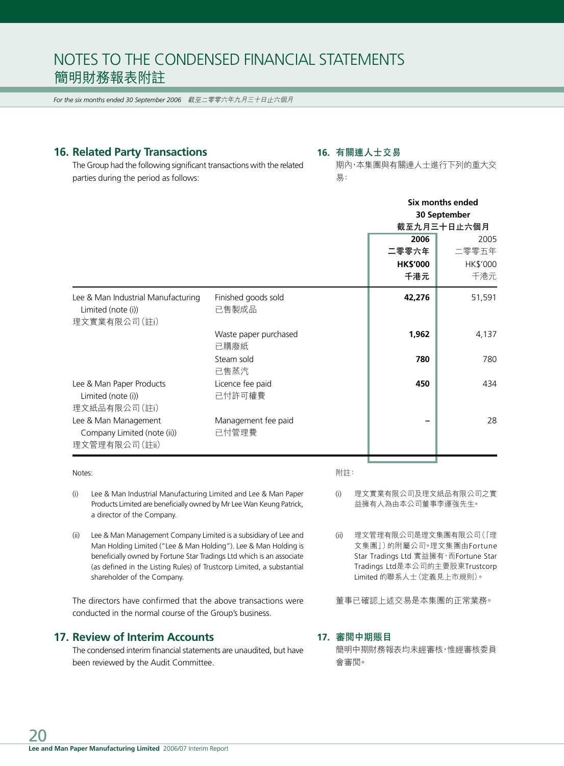*For the six months ended 30 September 2006* 截至二零零六年九月三十日止六個月

## **16. Related Party Transactions**

#### **16. 有關連人士交易**

The Group had the following significant transactions with the related parties during the period as follows:

#### 期內,本集團與有關連人士進行下列的重大交 易:

|                       | Six months ended |          |
|-----------------------|------------------|----------|
|                       | 30 September     |          |
|                       | 截至九月三十日止六個月      |          |
|                       | 2006             | 2005     |
|                       | 二零零六年            | 二零零五年    |
|                       | <b>HK\$'000</b>  | HK\$'000 |
|                       | 千港元              | 千港元      |
| Finished goods sold   | 42,276           | 51,591   |
| 已售製成品                 |                  |          |
|                       |                  |          |
| Waste paper purchased | 1,962            | 4,137    |
| 已購廢紙                  |                  |          |
| Steam sold            | 780              | 780      |
| 已售蒸汽                  |                  |          |
| Licence fee paid      | 450              | 434      |
| 已付許可權費                |                  |          |
|                       |                  |          |
| Management fee paid   |                  | 28       |
| 已付管理費                 |                  |          |
|                       |                  |          |
|                       |                  |          |

#### Notes:

附註:

- (i) Lee & Man Industrial Manufacturing Limited and Lee & Man Paper Products Limited are beneficially owned by Mr Lee Wan Keung Patrick, a director of the Company.
- (ii) Lee & Man Management Company Limited is a subsidiary of Lee and Man Holding Limited ("Lee & Man Holding"). Lee & Man Holding is beneficially owned by Fortune Star Tradings Ltd which is an associate (as defined in the Listing Rules) of Trustcorp Limited, a substantial shareholder of the Company.

The directors have confirmed that the above transactions were conducted in the normal course of the Group's business.

# **17. Review of Interim Accounts**

The condensed interim financial statements are unaudited, but have been reviewed by the Audit Committee.

- (i) 理文實業有限公司及理文紙品有限公司之實 益擁有人為由本公司董事李運強先生。
- (ii) 理文管理有限公司是理文集團有限公司(「理 文集團」)的附屬公司。理文集團由Fortune Star Tradings Ltd 實益擁有, 而Fortune Star Tradings Ltd是本公司的主要股東Trustcorp Limited 的聯系人士(定義見上市規則)。

董事已確認上述交易是本集團的正常業務。

#### **17. 審閱中期賬目**

簡明中期財務報表均未經審核,惟經審核委員 會審閱。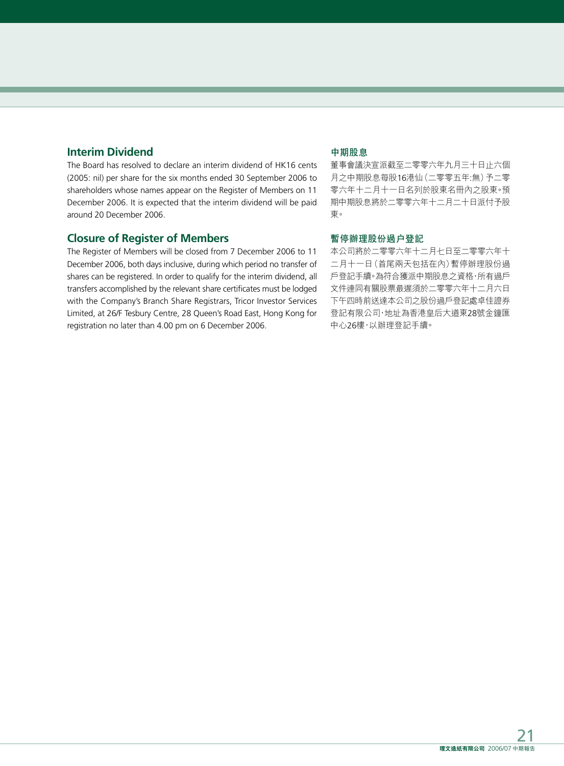# **Interim Dividend**

The Board has resolved to declare an interim dividend of HK16 cents (2005: nil) per share for the six months ended 30 September 2006 to shareholders whose names appear on the Register of Members on 11 December 2006. It is expected that the interim dividend will be paid around 20 December 2006.

## **Closure of Register of Members**

The Register of Members will be closed from 7 December 2006 to 11 December 2006, both days inclusive, during which period no transfer of shares can be registered. In order to qualify for the interim dividend, all transfers accomplished by the relevant share certificates must be lodged with the Company's Branch Share Registrars, Tricor Investor Services Limited, at 26/F Tesbury Centre, 28 Queen's Road East, Hong Kong for registration no later than 4.00 pm on 6 December 2006.

## **中期股息**

董事會議決宣派截至二零零六年九月三十日止六個 月之中期股息每股16港仙(二零零五年:無)予二零 零六年十二月十一日名列於股東名冊內之股東。預 期中期股息將於二零零六年十二月二十日派付予股 東。

### **暫停辦理股份過戶登記**

本公司將於二零零六年十二月七日至二零零六年十 二月十一日(首尾兩天包括在內)暫停辦理股份過 戶登記手續。為符合獲派中期股息之資格,所有過戶 文件連同有關股票最遲須於二零零六年十二月六日 下午四時前送達本公司之股份過戶登記處卓佳證券 登記有限公司,地址為香港皇后大道東28號金鐘匯 中心26樓,以辦理登記手續。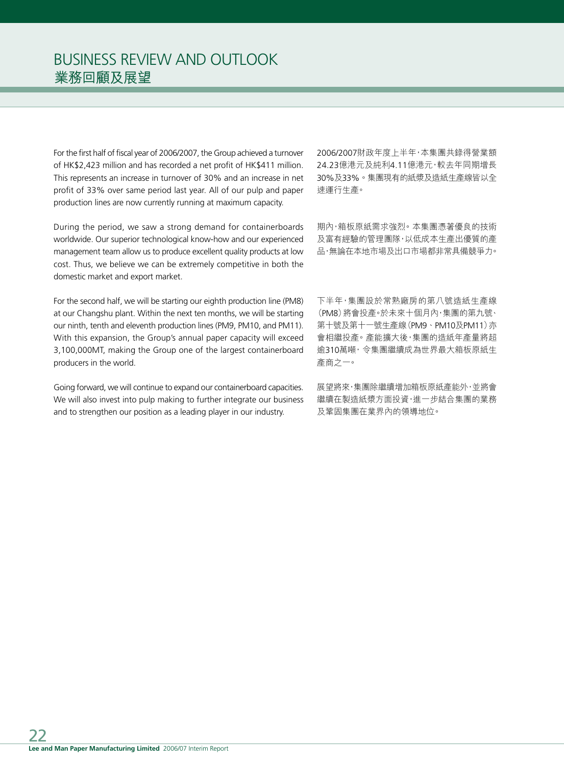For the first half of fiscal year of 2006/2007, the Group achieved a turnover of HK\$2,423 million and has recorded a net profit of HK\$411 million. This represents an increase in turnover of 30% and an increase in net profit of 33% over same period last year. All of our pulp and paper production lines are now currently running at maximum capacity.

During the period, we saw a strong demand for containerboards worldwide. Our superior technological know-how and our experienced management team allow us to produce excellent quality products at low cost. Thus, we believe we can be extremely competitive in both the domestic market and export market.

For the second half, we will be starting our eighth production line (PM8) at our Changshu plant. Within the next ten months, we will be starting our ninth, tenth and eleventh production lines (PM9, PM10, and PM11). With this expansion, the Group's annual paper capacity will exceed 3,100,000MT, making the Group one of the largest containerboard producers in the world.

Going forward, we will continue to expand our containerboard capacities. We will also invest into pulp making to further integrate our business and to strengthen our position as a leading player in our industry.

2006/2007財政年度上半年,本集團共錄得營業額 24.23億港元及純利4.11億港元,較去年同期增長 30%及33%。集團現有的紙漿及造紙生產線皆以全 速運行生產。

期內,箱板原紙需求強烈。本集團憑著優良的技術 及富有經驗的管理團隊,以低成本生產出優質的產 品,無論在本地市場及出口市場都非常具備競爭力。

下半年,集團設於常熟廠房的第八號造紙生產線 (PM8)將會投產。於未來十個月內,集團的第九號、 第十號及第十一號生產線(PM9、PM10及PM11)亦 會相繼投產。產能擴大後,集團的造紙年產量將超 逾310萬噸,令集團繼續成為世界最大箱板原紙生 產商之一。

展望將來,集團除繼續增加箱板原紙產能外,並將會 繼續在製造紙漿方面投資,進一步結合集團的業務 及鞏固集團在業界內的領導地位。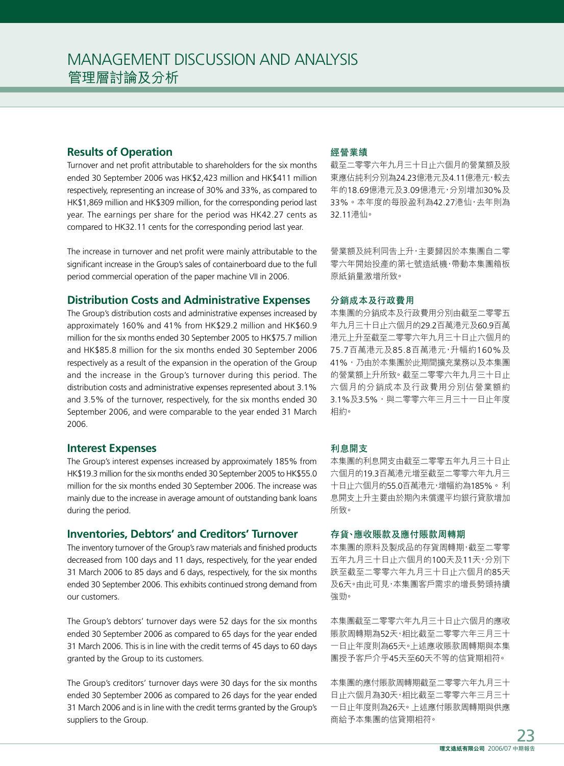## **Results of Operation**

Turnover and net profit attributable to shareholders for the six months ended 30 September 2006 was HK\$2,423 million and HK\$411 million respectively, representing an increase of 30% and 33%, as compared to HK\$1,869 million and HK\$309 million, for the corresponding period last year. The earnings per share for the period was HK42.27 cents as compared to HK32.11 cents for the corresponding period last year.

The increase in turnover and net profit were mainly attributable to the significant increase in the Group's sales of containerboard due to the full period commercial operation of the paper machine VII in 2006.

## **Distribution Costs and Administrative Expenses**

The Group's distribution costs and administrative expenses increased by approximately 160% and 41% from HK\$29.2 million and HK\$60.9 million for the six months ended 30 September 2005 to HK\$75.7 million and HK\$85.8 million for the six months ended 30 September 2006 respectively as a result of the expansion in the operation of the Group and the increase in the Group's turnover during this period. The distribution costs and administrative expenses represented about 3.1% and 3.5% of the turnover, respectively, for the six months ended 30 September 2006, and were comparable to the year ended 31 March 2006.

#### **Interest Expenses**

The Group's interest expenses increased by approximately 185% from HK\$19.3 million for the six months ended 30 September 2005 to HK\$55.0 million for the six months ended 30 September 2006. The increase was mainly due to the increase in average amount of outstanding bank loans during the period.

#### **Inventories, Debtors' and Creditors' Turnover**

The inventory turnover of the Group's raw materials and finished products decreased from 100 days and 11 days, respectively, for the year ended 31 March 2006 to 85 days and 6 days, respectively, for the six months ended 30 September 2006. This exhibits continued strong demand from our customers.

The Group's debtors' turnover days were 52 days for the six months ended 30 September 2006 as compared to 65 days for the year ended 31 March 2006. This is in line with the credit terms of 45 days to 60 days granted by the Group to its customers.

The Group's creditors' turnover days were 30 days for the six months ended 30 September 2006 as compared to 26 days for the year ended 31 March 2006 and is in line with the credit terms granted by the Group's suppliers to the Group.

### **經營業績**

截至二零零六年九月三十日止六個月的營業額及股 東應佔純利分別為24.23億港元及4.11億港元,較去 年的18.69億港元及3.09億港元,分別增加30%及 33%。本年度的每股盈利為42.27港仙,去年則為 32.11港仙。

營業額及純利同告上升,主要歸因於本集團自二零 零六年開始投產的第七號造紙機,帶動本集團箱板 原紙銷量激增所致。

#### **分銷成本及行政費用**

本集團的分銷成本及行政費用分別由截至二零零五 年九月三十日止六個月的29.2百萬港元及60.9百萬 港元上升至截至二零零六年九月三十日止六個月的 75.7百萬港元及85.8百萬港元,升幅約160%及 41%,乃由於本集團於此期間擴充業務以及本集團 的營業額上升所致。截至二零零六年九月三十日止 六個月的分銷成本及行政費用分別佔營業額約 3.1%及3.5%,與二零零六年三月三十一日止年度 相約。

#### **利息開支**

本集團的利息開支由截至二零零五年九月三十日止 六個月的19.3百萬港元增至截至二零零六年九月三 十日止六個月的55.0百萬港元,增幅約為185%。利 息開支上升主要由於期內未償還平均銀行貸款增加 所致。

#### **存貨、應收賬款及應付賬款周轉期**

本集團的原料及製成品的存貨周轉期,截至二零零 五年九月三十日止六個月的100天及11天,分別下 跌至截至二零零六年九月三十日止六個月的85天 及6天。由此可見,本集團客戶需求的增長勢頭持續 強勁。

本集團截至二零零六年九月三十日止六個月的應收 賬款周轉期為52天,相比截至二零零六年三月三十 一日止年度則為65天。上述應收賬款周轉期與本集 團授予客戶介乎45天至60天不等的信貸期相符。

本集團的應付賬款周轉期截至二零零六年九月三十 日止六個月為30天,相比截至二零零六年三月三十 一日止年度則為26天。上述應付賬款周轉期與供應 商給予本集團的信貸期相符。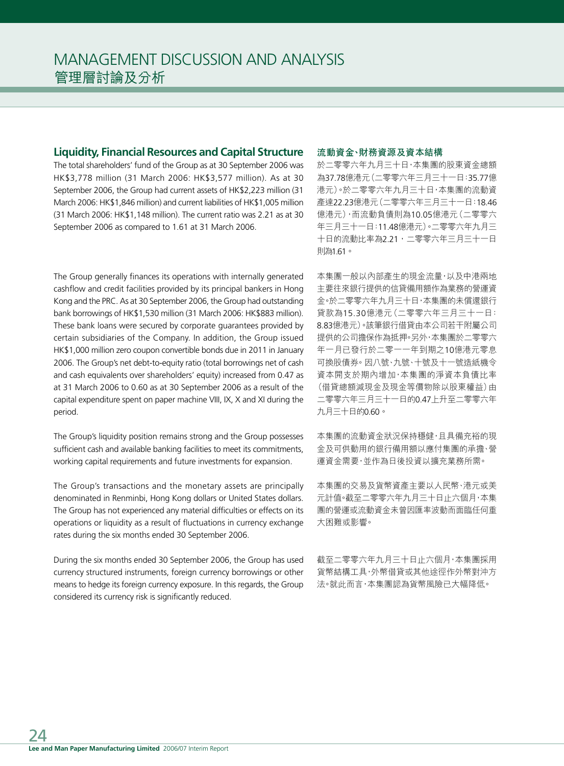## **Liquidity, Financial Resources and Capital Structure**

The total shareholders' fund of the Group as at 30 September 2006 was HK\$3,778 million (31 March 2006: HK\$3,577 million). As at 30 September 2006, the Group had current assets of HK\$2,223 million (31 March 2006: HK\$1,846 million) and current liabilities of HK\$1,005 million (31 March 2006: HK\$1,148 million). The current ratio was 2.21 as at 30 September 2006 as compared to 1.61 at 31 March 2006.

The Group generally finances its operations with internally generated cashflow and credit facilities provided by its principal bankers in Hong Kong and the PRC. As at 30 September 2006, the Group had outstanding bank borrowings of HK\$1,530 million (31 March 2006: HK\$883 million). These bank loans were secured by corporate guarantees provided by certain subsidiaries of the Company. In addition, the Group issued HK\$1,000 million zero coupon convertible bonds due in 2011 in January 2006. The Group's net debt-to-equity ratio (total borrowings net of cash and cash equivalents over shareholders' equity) increased from 0.47 as at 31 March 2006 to 0.60 as at 30 September 2006 as a result of the capital expenditure spent on paper machine VIII, IX, X and XI during the period.

The Group's liquidity position remains strong and the Group possesses sufficient cash and available banking facilities to meet its commitments, working capital requirements and future investments for expansion.

The Group's transactions and the monetary assets are principally denominated in Renminbi, Hong Kong dollars or United States dollars. The Group has not experienced any material difficulties or effects on its operations or liquidity as a result of fluctuations in currency exchange rates during the six months ended 30 September 2006.

During the six months ended 30 September 2006, the Group has used currency structured instruments, foreign currency borrowings or other means to hedge its foreign currency exposure. In this regards, the Group considered its currency risk is significantly reduced.

#### **流動資金、財務資源及資本結構**

於二零零六年九月三十日,本集團的股東資金總額 為37.78億港元(二零零六年三月三十一日:35.77億 港元)。於二零零六年九月三十日,本集團的流動資 產達22.23億港元(二零零六年三月三十一日:18.46 億港元),而流動負債則為10.05億港元(二零零六 年三月三十一日:11.48億港元)。二零零六年九月三 十日的流動比率為2.21,二零零六年三月三十一日 則為1.61。

本集團一般以內部產生的現金流量,以及中港兩地 主要往來銀行提供的信貸備用額作為業務的營運資 金。於二零零六年九月三十日,本集團的未償還銀行 貸款為15.30億港元(二零零六年三月三十一日: 8.83億港元)。該筆銀行借貸由本公司若干附屬公司 提供的公司擔保作為抵押。另外,本集團於二零零六 年一月已發行於二零一一年到期之10億港元零息 可換股債券。因八號、九號、十號及十一號造紙機令 資本開支於期內增加,本集團的淨資本負債比率 (借貸總額減現金及現金等價物除以股東權益)由 二零零六年三月三十一日的0.47上升至二零零六年 九月三十日的0.60。

本集團的流動資金狀況保持穩健,且具備充裕的現 金及可供動用的銀行備用額以應付集團的承擔、營 運資金需要,並作為日後投資以擴充業務所需。

本集團的交易及貨幣資產主要以人民幣、港元或美 元計值。截至二零零六年九月三十日止六個月,本集 團的營運或流動資金未曾因匯率波動而面臨任何重 大困難或影響。

截至二零零六年九月三十日止六個月,本集團採用 貨幣結構工具,外幣借貸或其他途徑作外幣對沖方 法。就此而言,本集團認為貨幣風險已大幅降低。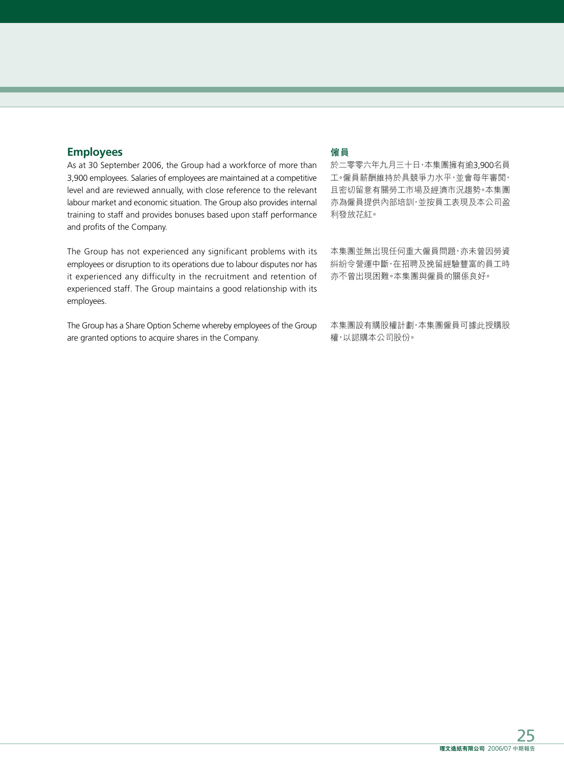## **Employees**

As at 30 September 2006, the Group had a workforce of more than 3,900 employees. Salaries of employees are maintained at a competitive level and are reviewed annually, with close reference to the relevant labour market and economic situation. The Group also provides internal training to staff and provides bonuses based upon staff performance and profits of the Company.

The Group has not experienced any significant problems with its employees or disruption to its operations due to labour disputes nor has it experienced any difficulty in the recruitment and retention of experienced staff. The Group maintains a good relationship with its employees.

The Group has a Share Option Scheme whereby employees of the Group are granted options to acquire shares in the Company.

## **僱員**

於二零零六年九月三十日,本集團擁有逾3,900名員 工。僱員薪酬維持於具競爭力水平,並會每年審閱, 且密切留意有關勞工市場及經濟市況趨勢。本集團 亦為僱員提供內部培訓,並按員工表現及本公司盈 利發放花紅。

本集團並無出現任何重大僱員問題,亦未曾因勞資 糾紛令營運中斷,在招聘及挽留經驗豐富的員工時 亦不曾出現困難。本集團與僱員的關係良好。

本集團設有購股權計劃,本集團僱員可據此授購股 權,以認購本公司股份。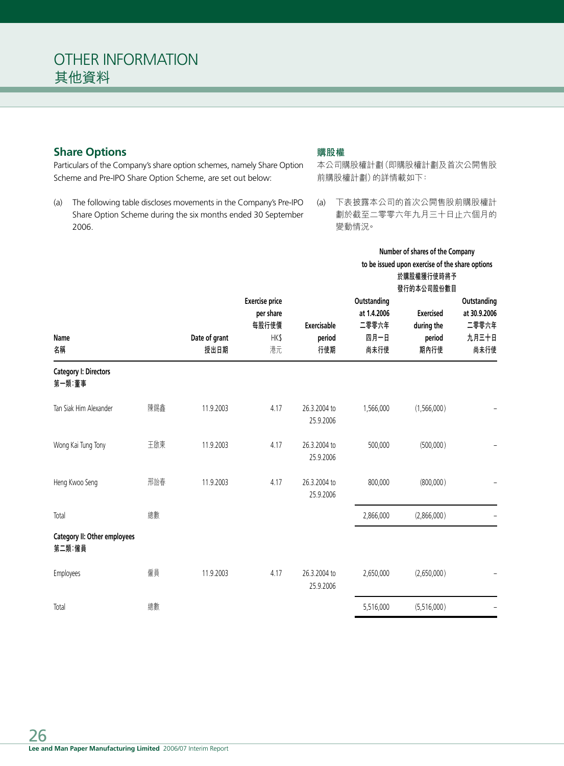# **Share Options**

Particulars of the Company's share option schemes, namely Share Option Scheme and Pre-IPO Share Option Scheme, are set out below:

(a) The following table discloses movements in the Company's Pre-IPO Share Option Scheme during the six months ended 30 September 2006.

## **購股權**

本公司購股權計劃(即購股權計劃及首次公開售股 前購股權計劃)的詳情載如下:

(a) 下表披露本公司的首次公開售股前購股權計 劃於截至二零零六年九月三十日止六個月的 變動情況。

**Number of shares of the Company**

|                                        |     |               |                       |              |             | to be issued upon exercise of the share options<br>於購股權獲行使時將予 |              |
|----------------------------------------|-----|---------------|-----------------------|--------------|-------------|---------------------------------------------------------------|--------------|
|                                        |     |               |                       |              |             | 發行的本公司股份數目                                                    |              |
|                                        |     |               | <b>Exercise price</b> |              | Outstanding |                                                               | Outstanding  |
|                                        |     |               | per share             |              | at 1.4.2006 | <b>Exercised</b>                                              | at 30.9.2006 |
|                                        |     |               | 每股行使價                 | Exercisable  | 二零零六年       | during the                                                    | 二零零六年        |
| <b>Name</b>                            |     | Date of grant | HK\$                  | period       | 四月一日        | period                                                        | 九月三十日        |
| 名稱                                     |     | 授出日期          | 港元                    | 行使期          | 尚未行使        | 期內行使                                                          | 尚未行使         |
| <b>Category I: Directors</b><br>第一類:董事 |     |               |                       |              |             |                                                               |              |
|                                        |     |               |                       |              |             |                                                               |              |
| Tan Siak Him Alexander                 | 陳錫鑫 | 11.9.2003     | 4.17                  | 26.3.2004 to | 1,566,000   | (1,566,000)                                                   |              |
|                                        |     |               |                       | 25.9.2006    |             |                                                               |              |
| Wong Kai Tung Tony                     | 王啟東 | 11.9.2003     | 4.17                  | 26.3.2004 to | 500,000     | (500,000)                                                     |              |
|                                        |     |               |                       | 25.9.2006    |             |                                                               |              |
| Heng Kwoo Seng                         | 邢詒春 | 11.9.2003     | 4.17                  | 26.3.2004 to | 800,000     | (800,000)                                                     |              |
|                                        |     |               |                       | 25.9.2006    |             |                                                               |              |
| Total                                  | 總數  |               |                       |              | 2,866,000   | (2,866,000)                                                   |              |
|                                        |     |               |                       |              |             |                                                               |              |
| Category II: Other employees<br>第二類:僱員 |     |               |                       |              |             |                                                               |              |
| Employees                              | 僱員  | 11.9.2003     | 4.17                  | 26.3.2004 to | 2,650,000   | (2,650,000)                                                   |              |
|                                        |     |               |                       | 25.9.2006    |             |                                                               |              |
| Total                                  | 總數  |               |                       |              | 5,516,000   | (5,516,000)                                                   |              |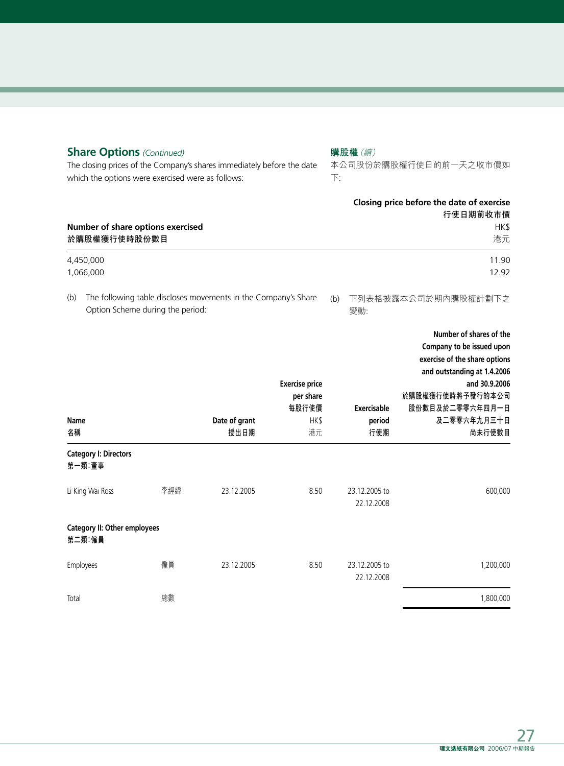| <b>Share Options (Continued)</b><br>The closing prices of the Company's shares immediately before the date<br>which the options were exercised were as follows: |                                                   |     | 購股權(續)<br>本公司股份於購股權行使日的前一天之收市價如<br>$\overline{\Gamma}$ :       |                                                           |                              |                                                                                                                                                                                                       |
|-----------------------------------------------------------------------------------------------------------------------------------------------------------------|---------------------------------------------------|-----|----------------------------------------------------------------|-----------------------------------------------------------|------------------------------|-------------------------------------------------------------------------------------------------------------------------------------------------------------------------------------------------------|
|                                                                                                                                                                 | Number of share options exercised<br>於購股權獲行使時股份數目 |     |                                                                |                                                           |                              | Closing price before the date of exercise<br>行使日期前收市價<br>HK\$<br>港元                                                                                                                                   |
|                                                                                                                                                                 | 4,450,000<br>1,066,000                            |     |                                                                |                                                           |                              | 11.90<br>12.92                                                                                                                                                                                        |
| (b)                                                                                                                                                             | Option Scheme during the period:                  |     | The following table discloses movements in the Company's Share |                                                           | (b)<br>變動:                   | 下列表格披露本公司於期內購股權計劃下之                                                                                                                                                                                   |
| Name<br>名稱                                                                                                                                                      |                                                   |     | Date of grant<br>授出日期                                          | <b>Exercise price</b><br>per share<br>每股行使價<br>HK\$<br>港元 | Exercisable<br>period<br>行使期 | Number of shares of the<br>Company to be issued upon<br>exercise of the share options<br>and outstanding at 1.4.2006<br>and 30.9.2006<br>於購股權獲行使時將予發行的本公司<br>股份數目及於二零零六年四月一日<br>及二零零六年九月三十日<br>尚未行使數目 |
|                                                                                                                                                                 | <b>Category I: Directors</b><br>第一類:董事            |     |                                                                |                                                           |                              |                                                                                                                                                                                                       |
|                                                                                                                                                                 | Li King Wai Ross                                  | 李經緯 | 23.12.2005                                                     | 8.50                                                      | 23.12.2005 to<br>22.12.2008  | 600,000                                                                                                                                                                                               |
|                                                                                                                                                                 | <b>Category II: Other employees</b><br>第二類:僱員     |     |                                                                |                                                           |                              |                                                                                                                                                                                                       |
|                                                                                                                                                                 | Employees                                         | 僱員  | 23.12.2005                                                     | 8.50                                                      | 23.12.2005 to<br>22.12.2008  | 1,200,000                                                                                                                                                                                             |
| Total                                                                                                                                                           |                                                   | 總數  |                                                                |                                                           |                              | 1,800,000                                                                                                                                                                                             |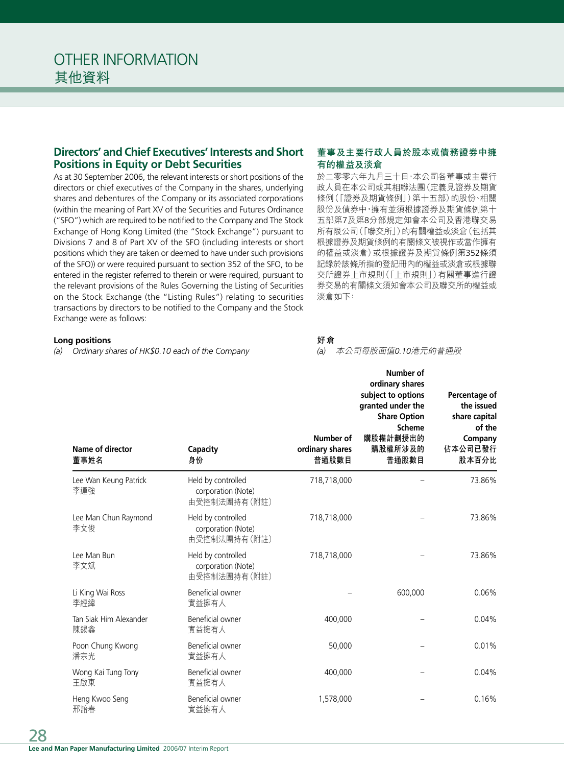## **Directors' and Chief Executives' Interests and Short Positions in Equity or Debt Securities**

As at 30 September 2006, the relevant interests or short positions of the directors or chief executives of the Company in the shares, underlying shares and debentures of the Company or its associated corporations (within the meaning of Part XV of the Securities and Futures Ordinance ("SFO") which are required to be notified to the Company and The Stock Exchange of Hong Kong Limited (the "Stock Exchange") pursuant to Divisions 7 and 8 of Part XV of the SFO (including interests or short positions which they are taken or deemed to have under such provisions of the SFO)) or were required pursuant to section 352 of the SFO, to be entered in the register referred to therein or were required, pursuant to the relevant provisions of the Rules Governing the Listing of Securities on the Stock Exchange (the "Listing Rules") relating to securities transactions by directors to be notified to the Company and the Stock Exchange were as follows:

#### **Long positions**

*(a) Ordinary shares of HK\$0.10 each of the Company*

### **董事及主要行政人員於股本或債務證券中擁 有的權益及淡倉**

於二零零六年九月三十日,本公司各董事或主要行 政人員在本公司或其相聯法團(定義見證券及期貨 條例(「證券及期貨條例」)第十五部)的股份、相關 股份及債券中,擁有並須根據證券及期貨條例第十 五部第7及第8分部規定知會本公司及香港聯交易 所有限公司(「聯交所」)的有關權益或淡倉(包括其 根據證券及期貨條例的有關條文被視作或當作擁有 的權益或淡倉)或根據證券及期貨條例第352條須 記錄於該條所指的登記冊內的權益或淡倉或根據聯 交所證券上市規則(「上市規則」)有關董事進行證 券交易的有關條文須知會本公司及聯交所的權益或 淡倉如下:

#### **好倉**

*(a)* 本公司每股面值*0.10*港元的普通股

| Name of director<br>董事姓名      | Capacity<br>身份                                           | Number of<br>ordinary shares<br>普通股數目 | Number of<br>ordinary shares<br>subject to options<br>granted under the<br><b>Share Option</b><br><b>Scheme</b><br>購股權計劃授出的<br>購股權所涉及的<br>普通股數目 | Percentage of<br>the issued<br>share capital<br>of the<br>Company<br>佔本公司已發行<br>股本百分比 |
|-------------------------------|----------------------------------------------------------|---------------------------------------|-------------------------------------------------------------------------------------------------------------------------------------------------|---------------------------------------------------------------------------------------|
| Lee Wan Keung Patrick<br>李運強  | Held by controlled<br>corporation (Note)<br>由受控制法團持有(附註) | 718,718,000                           |                                                                                                                                                 | 73.86%                                                                                |
| Lee Man Chun Raymond<br>李文俊   | Held by controlled<br>corporation (Note)<br>由受控制法團持有(附註) | 718,718,000                           |                                                                                                                                                 | 73.86%                                                                                |
| Lee Man Bun<br>李文斌            | Held by controlled<br>corporation (Note)<br>由受控制法團持有(附註) | 718,718,000                           |                                                                                                                                                 | 73.86%                                                                                |
| Li King Wai Ross<br>李經緯       | Beneficial owner<br>實益擁有人                                |                                       | 600,000                                                                                                                                         | 0.06%                                                                                 |
| Tan Siak Him Alexander<br>陳錫鑫 | Beneficial owner<br>實益擁有人                                | 400,000                               |                                                                                                                                                 | 0.04%                                                                                 |
| Poon Chung Kwong<br>潘宗光       | Beneficial owner<br>實益擁有人                                | 50,000                                |                                                                                                                                                 | 0.01%                                                                                 |
| Wong Kai Tung Tony<br>王啟東     | Beneficial owner<br>實益擁有人                                | 400,000                               |                                                                                                                                                 | 0.04%                                                                                 |
| Heng Kwoo Seng<br>邢詒春         | Beneficial owner<br>實益擁有人                                | 1,578,000                             |                                                                                                                                                 | 0.16%                                                                                 |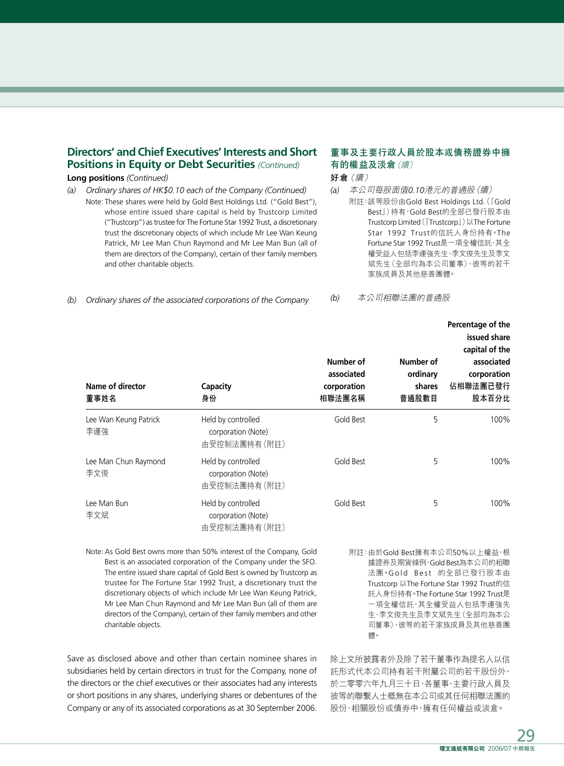## **Directors' and Chief Executives' Interests and Short Positions in Equity or Debt Securities** *(Continued)*

#### **Long positions** *(Continued)*

*(a) Ordinary shares of HK\$0.10 each of the Company (Continued)* Note: These shares were held by Gold Best Holdings Ltd. ("Gold Best"), whose entire issued share capital is held by Trustcorp Limited ("Trustcorp") as trustee for The Fortune Star 1992 Trust, a discretionary trust the discretionary objects of which include Mr Lee Wan Keung Patrick, Mr Lee Man Chun Raymond and Mr Lee Man Bun (all of them are directors of the Company), certain of their family members and other charitable objects.

*(b) Ordinary shares of the associated corporations of the Company*

### **董事及主要行政人員於股本或債務證券中擁 有的權益及淡倉**(續)

**好倉**(續)

*(a)* 本公司每股面值*0.10*港元的普通股(續) 附註:該等股份由Gold Best Holdings Ltd.(「Gold Best」)持有,Gold Best的全部已發行股本由 Trustcorp Limited(「Trustcorp」)以The Fortune Star 1992 Trust的信託人身份持有。The Fortune Star 1992 Trust是一項全權信託,其全 權受益人包括李運強先生、李文俊先生及李文 斌先生(全部均為本公司董事)、彼等的若干 家族成員及其他慈善團體。

*(b)* 本公司相聯法團的普通股

| Name of director<br>董事姓名     | <b>Capacity</b><br>身份                                    | Number of<br>associated<br>corporation<br>相聯法團名稱 | Number of<br>ordinary<br>shares<br>普通股數目 | Percentage of the<br>issued share<br>capital of the<br>associated<br>corporation<br>佔相聯法團已發行<br>股本百分比 |
|------------------------------|----------------------------------------------------------|--------------------------------------------------|------------------------------------------|-------------------------------------------------------------------------------------------------------|
| Lee Wan Keung Patrick<br>李運強 | Held by controlled<br>corporation (Note)<br>由受控制法團持有(附註) | Gold Best                                        | 5                                        | 100%                                                                                                  |
| Lee Man Chun Raymond<br>李文俊  | Held by controlled<br>corporation (Note)<br>由受控制法團持有(附註) | Gold Best                                        | 5                                        | 100%                                                                                                  |
| Lee Man Bun<br>李文斌           | Held by controlled<br>corporation (Note)<br>由受控制法團持有(附註) | Gold Best                                        | 5                                        | 100%                                                                                                  |

Note: As Gold Best owns more than 50% interest of the Company, Gold Best is an associated corporation of the Company under the SFO. The entire issued share capital of Gold Best is owned by Trustcorp as trustee for The Fortune Star 1992 Trust, a discretionary trust the discretionary objects of which include Mr Lee Wan Keung Patrick, Mr Lee Man Chun Raymond and Mr Lee Man Bun (all of them are directors of the Company), certain of their family members and other charitable objects.

Save as disclosed above and other than certain nominee shares in subsidiaries held by certain directors in trust for the Company, none of the directors or the chief executives or their associates had any interests or short positions in any shares, underlying shares or debentures of the Company or any of its associated corporations as at 30 September 2006.

附註:由於Gold Best擁有本公司50%以上權益,根 據證券及期貨條例,Gold Best為本公司的相聯 法團。Gold Best 的全部已發行股本由 Trustcorp 以The Fortune Star 1992 Trust的信 託人身份持有。The Fortune Star 1992 Trust是 一項全權信託,其全權受益人包括李運強先 生、李文俊先生及李文斌先生(全部均為本公 司董事)、彼等的若干家族成員及其他慈善團 體。

除上文所披露者外及除了若干董事作為提名人以信 託形式代本公司持有若干附屬公司的若干股份外, 於二零零六年九月三十日,各董事、主要行政人員及 彼等的聯繫人士概無在本公司或其任何相聯法團的 股份、相關股份或債券中,擁有任何權益或淡倉。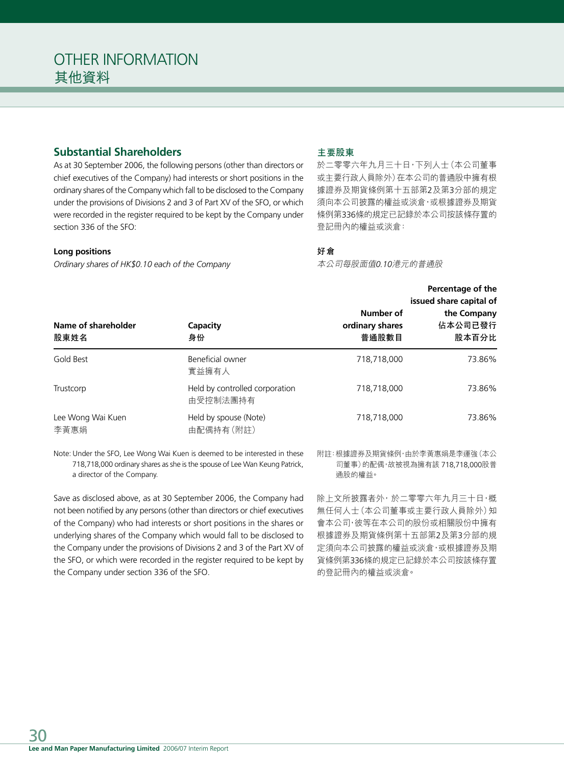# **Substantial Shareholders**

As at 30 September 2006, the following persons (other than directors or chief executives of the Company) had interests or short positions in the ordinary shares of the Company which fall to be disclosed to the Company under the provisions of Divisions 2 and 3 of Part XV of the SFO, or which were recorded in the register required to be kept by the Company under section 336 of the SFO:

#### **Long positions**

*Ordinary shares of HK\$0.10 each of the Company*

#### **主要股東**

於二零零六年九月三十日,下列人士(本公司董事 或主要行政人員除外)在本公司的普通股中擁有根 據證券及期貨條例第十五部第2及第3分部的規定 須向本公司披露的權益或淡倉,或根據證券及期貨 條例第336條的規定已記錄於本公司按該條存置的 登記冊內的權益或淡倉:

## **好倉**

本公司每股面值*0.10*港元的普通股

|                             |                                            | Percentage of the<br>issued share capital of |                                 |  |
|-----------------------------|--------------------------------------------|----------------------------------------------|---------------------------------|--|
| Name of shareholder<br>股東姓名 | Capacity<br>身份                             | Number of<br>ordinary shares<br>普通股數目        | the Company<br>佔本公司已發行<br>股本百分比 |  |
| Gold Best                   | Beneficial owner<br>實益擁有人                  | 718,718,000                                  | 73.86%                          |  |
| Trustcorp                   | Held by controlled corporation<br>由受控制法團持有 | 718,718,000                                  | 73.86%                          |  |
| Lee Wong Wai Kuen<br>李黃惠娟   | Held by spouse (Note)<br>由配偶持有(附註)         | 718,718,000                                  | 73.86%                          |  |

Note: Under the SFO, Lee Wong Wai Kuen is deemed to be interested in these 718,718,000 ordinary shares as she is the spouse of Lee Wan Keung Patrick, a director of the Company.

Save as disclosed above, as at 30 September 2006, the Company had not been notified by any persons (other than directors or chief executives of the Company) who had interests or short positions in the shares or underlying shares of the Company which would fall to be disclosed to the Company under the provisions of Divisions 2 and 3 of the Part XV of the SFO, or which were recorded in the register required to be kept by the Company under section 336 of the SFO.

附註:根據證券及期貨條例,由於李黃惠娟是李運強(本公 司董事)的配偶,故被視為擁有該 718,718,000股普 通股的權益。

除上文所披露者外,於二零零六年九月三十日,概 無任何人士(本公司董事或主要行政人員除外)知 會本公司,彼等在本公司的股份或相關股份中擁有 根據證券及期貨條例第十五部第2及第3分部的規 定須向本公司披露的權益或淡倉,或根據證券及期 貨條例第336條的規定已記錄於本公司按該條存置 的登記冊內的權益或淡倉。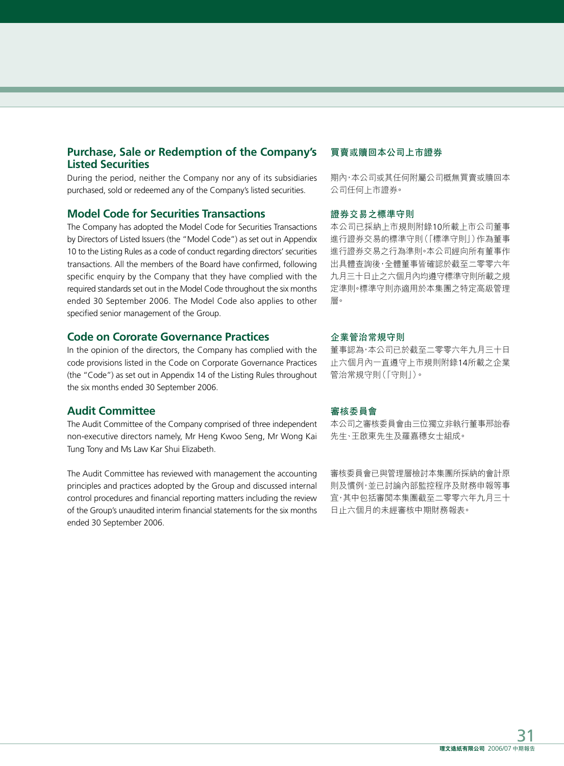## **Purchase, Sale or Redemption of the Company's Listed Securities**

During the period, neither the Company nor any of its subsidiaries purchased, sold or redeemed any of the Company's listed securities.

### **Model Code for Securities Transactions**

The Company has adopted the Model Code for Securities Transactions by Directors of Listed Issuers (the "Model Code") as set out in Appendix 10 to the Listing Rules as a code of conduct regarding directors' securities transactions. All the members of the Board have confirmed, following specific enquiry by the Company that they have complied with the required standards set out in the Model Code throughout the six months ended 30 September 2006. The Model Code also applies to other specified senior management of the Group.

#### **Code on Cororate Governance Practices**

In the opinion of the directors, the Company has complied with the code provisions listed in the Code on Corporate Governance Practices (the "Code") as set out in Appendix 14 of the Listing Rules throughout the six months ended 30 September 2006.

#### **Audit Committee**

The Audit Committee of the Company comprised of three independent non-executive directors namely, Mr Heng Kwoo Seng, Mr Wong Kai Tung Tony and Ms Law Kar Shui Elizabeth.

The Audit Committee has reviewed with management the accounting principles and practices adopted by the Group and discussed internal control procedures and financial reporting matters including the review of the Group's unaudited interim financial statements for the six months ended 30 September 2006.

#### **買賣或贖回本公司上市證券**

期內,本公司或其任何附屬公司概無買賣或贖回本 公司任何上市證券。

#### **證券交易之標準守則**

本公司已採納上市規則附錄10所載上市公司董事 進行證券交易的標準守則(「標準守則」)作為董事 進行證券交易之行為準則。本公司經向所有董事作 出具體查詢後,全體董事皆確認於截至二零零六年 九月三十日止之六個月內均遵守標準守則所載之規 定準則。標準守則亦適用於本集團之特定高級管理 層。

#### **企業管治常規守則**

董事認為,本公司已於截至二零零六年九月三十日 止六個月內一直遵守上市規則附錄14所載之企業 管治常規守則(「守則」)。

#### **審核委員會**

本公司之審核委員會由三位獨立非執行董事邢詒春 先生、王啟東先生及羅嘉穗女士組成。

審核委員會已與管理層檢討本集團所採納的會計原 則及慣例,並已討論內部監控程序及財務申報等事 宜,其中包括審閱本集團截至二零零六年九月三十 日止六個月的未經審核中期財務報表。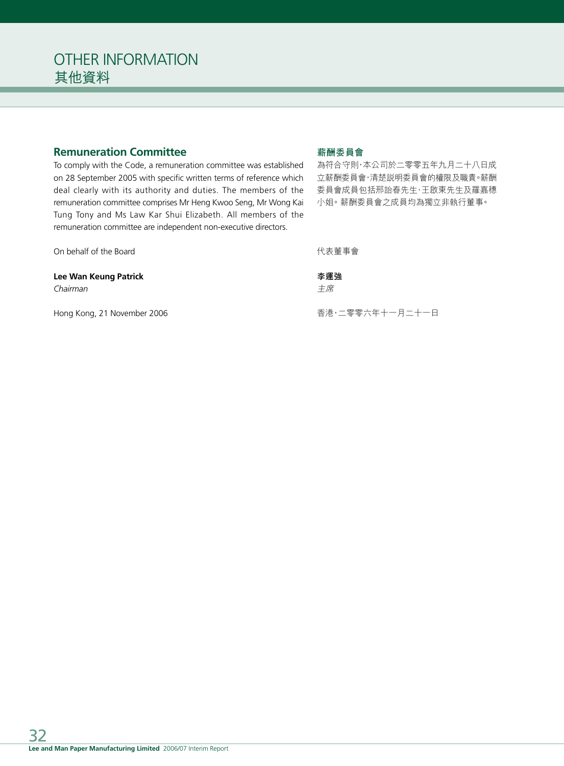# **Remuneration Committee**

To comply with the Code, a remuneration committee was established on 28 September 2005 with specific written terms of reference which deal clearly with its authority and duties. The members of the remuneration committee comprises Mr Heng Kwoo Seng, Mr Wong Kai Tung Tony and Ms Law Kar Shui Elizabeth. All members of the remuneration committee are independent non-executive directors.

On behalf of the Board

#### **Lee Wan Keung Patrick**

*Chairman*

Hong Kong, 21 November 2006

## **薪酬委員會**

為符合守則,本公司於二零零五年九月二十八日成 立薪酬委員會,清楚說明委員會的權限及職責。薪酬 委員會成員包括邢詒春先生、王啟東先生及羅嘉穗 小姐。薪酬委員會之成員均為獨立非執行董事。

代表董事會

## **李運強**

主席

香港,二零零六年十一月二十一日